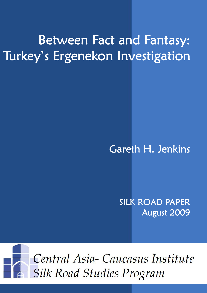# Between Fact and Fantasy: Turkey's Ergenekon Investigation

# Gareth H. Jenkins

SILK ROAD PAPER August 2009

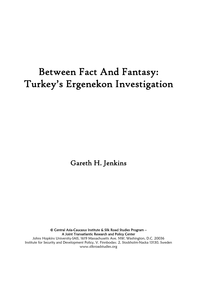# Between Fact And Fantasy: Turkey's Ergenekon Investigation

Gareth H. Jenkins

© Central Asia-Caucasus Institute & Silk Road Studies Program – A Joint Transatlantic Research and Policy Center Johns Hopkins University-SAIS, 1619 Massachusetts Ave. NW, Washington, D.C. 20036

Institute for Security and Development Policy, V. Finnbodav. 2, Stockholm-Nacka 13130, Sweden www.silkroadstudies.org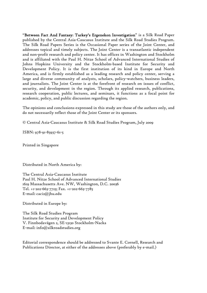"Between Fact And Fantasy: Turkey's Ergenekon Investigation" is a Silk Road Paper published by the Central Asia-Caucasus Institute and the Silk Road Studies Program. The Silk Road Papers Series is the Occasional Paper series of the Joint Center, and addresses topical and timely subjects. The Joint Center is a transatlantic independent and non-profit research and policy center. It has offices in Washington and Stockholm and is affiliated with the Paul H. Nitze School of Advanced International Studies of Johns Hopkins University and the Stockholm-based Institute for Security and Development Policy. It is the first institution of its kind in Europe and North America, and is firmly established as a leading research and policy center, serving a large and diverse community of analysts, scholars, policy-watchers, business leaders, and journalists. The Joint Center is at the forefront of research on issues of conflict, security, and development in the region. Through its applied research, publications, research cooperation, public lectures, and seminars, it functions as a focal point for academic, policy, and public discussion regarding the region.

The opinions and conclusions expressed in this study are those of the authors only, and do not necessarily reflect those of the Joint Center or its sponsors.

© Central Asia-Caucasus Institute & Silk Road Studies Program, July 2009

ISBN: 978-91-85937-61-5

Printed in Singapore

Distributed in North America by:

The Central Asia-Caucasus Institute Paul H. Nitze School of Advanced International Studies 1619 Massachusetts Ave. NW, Washington, D.C. 20036 Tel. +1-202-663-7723; Fax. +1-202-663-7785 E-mail: caci2@jhu.edu

Distributed in Europe by:

The Silk Road Studies Program Institute for Security and Development Policy V. Finnbodavägen 2, SE-13130 Stockholm-Nacka E-mail: info@silkroadstudies.org

Editorial correspondence should be addressed to Svante E. Cornell, Research and Publications Director, at either of the addresses above (preferably by e-mail.)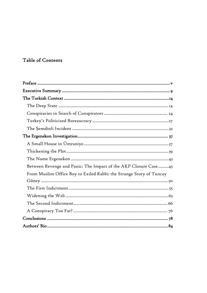# Table of Contents

| Between Revenge and Panic: The Impact of the AKP Closure Case45     |
|---------------------------------------------------------------------|
| From Muslim Office Boy to Exiled Rabbi: the Strange Story of Tuncay |
|                                                                     |
|                                                                     |
|                                                                     |
|                                                                     |
|                                                                     |
|                                                                     |
|                                                                     |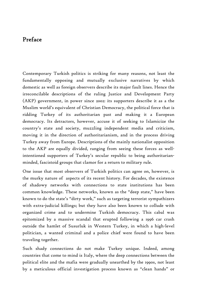## Preface

Contemporary Turkish politics is striking for many reasons, not least the fundamentally opposing and mutually exclusive narratives by which domestic as well as foreign observers describe its major fault lines. Hence the irreconcilable descriptions of the ruling Justice and Development Party (AKP) government, in power since 2002: its supporters describe it as a the Muslim world's equivalent of Christian Democracy, the political force that is ridding Turkey of its authoritarian past and making it a European democracy. Its detractors, however, accuse it of seeking to Islamicize the country's state and society, muzzling independent media and criticism, moving it in the direction of authoritarianism, and in the process driving Turkey away from Europe. Descriptions of the mainly nationalist opposition to the AKP are equally divided, ranging from seeing these forces as wellintentioned supporters of Turkey's secular republic to being authoritarianminded, fascistoid groups that clamor for a return to military rule.

One issue that most observers of Turkish politics can agree on, however, is the murky nature of aspects of its recent history. For decades, the existence of shadowy networks with connections to state institutions has been common knowledge. These networks, known as the "deep state," have been known to do the state's "dirty work," such as targeting terrorist sympathizers with extra-judicial killings; but they have also been known to collude with organized crime and to undermine Turkish democracy. This cabal was epitomized by a massive scandal that erupted following a 1996 car crash outside the hamlet of Susurluk in Western Turkey, in which a high-level politician, a wanted criminal and a police chief were found to have been traveling together.

Such shady connections do not make Turkey unique. Indeed, among countries that come to mind is Italy, where the deep connections between the political elite and the mafia were gradually unearthed by the 1990s, not least by a meticulous official investigation process known as "clean hands" or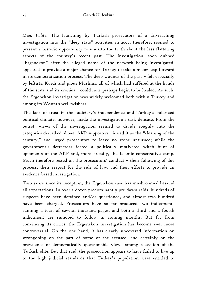*Mani Pulite*. The launching by Turkish prosecutors of a far-reaching investigation into the "deep state" activities in 2007, therefore, seemed to present a historic opportunity to unearth the truth about the less flattering aspects of the country's recent past. The investigation, soon dubbed "Ergenekon" after the alleged name of the network being investigated, appeared to provide a major chance for Turkey to take a major leap forward in its democratization process. The deep wounds of the past – felt especially by leftists, Kurds and pious Muslims, all of which had suffered at the hands of the state and its cronies – could now perhaps begin to be healed. As such, the Ergenekon investigation was widely welcomed both within Turkey and among its Western well-wishers.

The lack of trust in the judiciary's independence and Turkey's polarized political climate, however, made the investigation's task delicate. From the outset, views of the investigation seemed to divide roughly into the categories described above: AKP supporters viewed it as the "cleaning of the century," and urged prosecutors to leave no stone unturned; while the government's detractors feared a politically motivated witch hunt of opponents of the AKP and, more broadly, the Islamic conservative camp. Much therefore rested on the prosecutors' conduct – their following of due process, their respect for the rule of law, and their efforts to provide an evidence-based investigation.

Two years since its inception, the Ergenekon case has mushroomed beyond all expectations. In over a dozen predominantly pre-dawn raids, hundreds of suspects have been detained and/or questioned, and almost two hundred have been charged. Prosecutors have so far produced two indictments running a total of several thousand pages, and both a third and a fourth indictment are rumored to follow in coming months. But far from convincing its critics, the Ergenekon investigation has become ever more controversial. On the one hand, it has clearly uncovered information on wrongdoing on the part of some of the accused, and certainly on the prevalence of democratically questionable views among a section of the Turkish elite. But that said, the prosecution appears to have failed to live up to the high judicial standards that Turkey's population were entitled to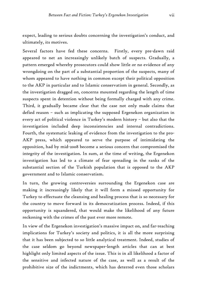expect, leading to serious doubts concerning the investigation's conduct, and ultimately, its motives.

Several factors have fed these concerns. Firstly, every pre-dawn raid appeared to net an increasingly unlikely batch of suspects. Gradually, a pattern emerged whereby prosecutors could show little or no evidence of any wrongdoing on the part of a substantial proportion of the suspects, many of whom appeared to have nothing in common except their political opposition to the AKP in particular and to Islamic conservatism in general. Secondly, as the investigation dragged on, concerns mounted regarding the length of time suspects spent in detention without being formally charged with any crime. Third, it gradually became clear that the case not only made claims that defied reason – such as implicating the supposed Ergenekon organization in every act of political violence in Turkey's modern history – but also that the investigation included deep inconsistencies and internal contradictions. Fourth, the systematic leaking of evidence from the investigation to the pro-AKP press, which appeared to serve the purpose of intimidating the opposition, had by mid-2008 become a serious concern that compromised the integrity of the investigation. In sum, at the time of writing, the Ergenekon investigation has led to a climate of fear spreading in the ranks of the substantial section of the Turkish population that is opposed to the AKP government and to Islamic conservatism.

In turn, the growing controversies surrounding the Ergenekon case are making it increasingly likely that it will form a missed opportunity for Turkey to effectuate the cleansing and healing process that is so necessary for the country to move forward in its democratization process. Indeed, if this opportunity is squandered, that would make the likelihood of any future reckoning with the crimes of the past ever more remote.

In view of the Ergenekon investigation's massive impact on, and far-reaching implications for Turkey's society and politics, it is all the more surprising that it has been subjected to so little analytical treatment. Indeed, studies of the case seldom go beyond newspaper-length articles that can at best highlight only limited aspects of the issue. This is in all likelihood a factor of the sensitive and infected nature of the case, as well as a result of the prohibitive size of the indictments, which has deterred even those scholars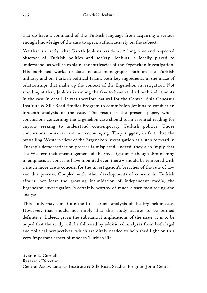that do have a command of the Turkish language from acquiring a serious enough knowledge of the case to speak authoritatively on the subject.

Yet that is exactly what Gareth Jenkins has done. A long-time and respected observer of Turkish politics and society, Jenkins is ideally placed to understand, as well as explain, the intricacies of the Ergenekon investigation. His published works to date include monographs both on the Turkish military and on Turkish political Islam, both key ingredients in the maze of relationships that make up the context of the Ergenekon investigation. Not standing at that, Jenkins is among the few to have studied both indictments in the case in detail. It was therefore natural for the Central Asia-Caucasus Institute & Silk Road Studies Program to commission Jenkins to conduct an in-depth analysis of the case. The result is the present paper, whose conclusions concerning the Ergenekon case should form essential reading for anyone seeking to understand contemporary Turkish politics. Those conclusions, however, are not encouraging. They suggest, in fact, that the prevailing Western view of the Ergenekon investigation as a step forward in Turkey's democratization process is misplaced. Indeed, they also imply that the Western tacit encouragement of the investigation – though diminishing in emphasis as concerns have mounted even there – should be tempered with a much more acute concern for the investigation's breaches of the rule of law and due process. Coupled with other developments of concern in Turkish affairs, not least the growing intimidation of independent media, the Ergenekon investigation is certainly worthy of much closer monitoring and analysis.

This study may constitute the first serious analysis of the Ergenekon case. However, that should not imply that this study aspires to be termed definitive. Indeed, given the substantial implications of the issue, it is to be hoped that the study will be followed by additional analyses from both legal and political perspectives, which are direly needed to help shed light on this very important aspect of modern Turkish life.

Svante E. Cornell Research Director Central Asia-Caucasus Institute & Silk Road Studies Program Joint Center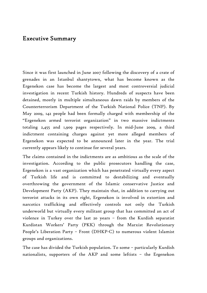### Executive Summary

Since it was first launched in June 2007 following the discovery of a crate of grenades in an Istanbul shantytown, what has become known as the Ergenekon case has become the largest and most controversial judicial investigation in recent Turkish history. Hundreds of suspects have been detained, mostly in multiple simultaneous dawn raids by members of the Counterterrorism Department of the Turkish National Police (TNP). By May 2009, 142 people had been formally charged with membership of the "Ergenekon armed terrorist organization" in two massive indictments totaling 2,455 and 1,909 pages respectively. In mid-June 2009, a third indictment containing charges against yet more alleged members of Ergenekon was expected to be announced later in the year. The trial currently appears likely to continue for several years.

The claims contained in the indictments are as ambitious as the scale of the investigation. According to the public prosecutors handling the case, Ergenekon is a vast organization which has penetrated virtually every aspect of Turkish life and is committed to destabilizing and eventually overthrowing the government of the Islamic conservative Justice and Development Party (AKP). They maintain that, in addition to carrying out terrorist attacks in its own right, Ergenekon is involved in extortion and narcotics trafficking and effectively controls not only the Turkish underworld but virtually every militant group that has committed an act of violence in Turkey over the last 20 years – from the Kurdish separatist Kurdistan Workers' Party (PKK) through the Marxist Revolutionary People's Liberation Party – Front (DHKP-C) to numerous violent Islamist groups and organizations.

The case has divided the Turkish population. To some – particularly Kurdish nationalists, supporters of the AKP and some leftists – the Ergenekon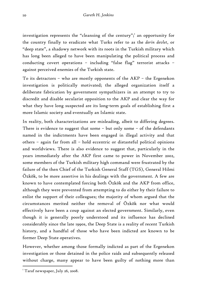investigation represents the "cleansing of the century"; an opportunity for the country finally to eradicate what Turks refer to as the *derin devlet*, or "deep state", a shadowy network with its roots in the Turkish military which has long been alleged to have been manipulating the political process and conducting covert operations – including "false flag" terrorist attacks – against perceived enemies of the Turkish state.

To its detractors – who are mostly opponents of the AKP – the Ergenekon investigation is politically motivated; the alleged organization itself a deliberate fabrication by government sympathizers in an attempt to try to discredit and disable secularist opposition to the AKP and clear the way for what they have long suspected are its long-term goals of establishing first a more Islamic society and eventually an Islamic state.

In reality, both characterizations are misleading, albeit to differing degrees. There is evidence to suggest that some – but only some – of the defendants named in the indictments have been engaged in illegal activity and that others – again far from all – hold eccentric or distasteful political opinions and worldviews. There is also evidence to suggest that, particularly in the years immediately after the AKP first came to power in November 2002, some members of the Turkish military high command were frustrated by the failure of the then Chief of the Turkish General Staff (TGS), General Hilmi Özkök, to be more assertive in his dealings with the government. A few are known to have contemplated forcing both Özkök and the AKP from office, although they were prevented from attempting to do either by their failure to enlist the support of their colleagues; the majority of whom argued that the circumstances merited neither the removal of Özkök nor what would effectively have been a coup against an elected government. Similarly, even though it is generally poorly understood and its influence has declined considerably since the late 1990s, the Deep State is a reality of recent Turkish history, and a handful of those who have been indicted are known to be former Deep State operatives.

However, whether among those formally indicted as part of the Ergenekon investigation or those detained in the police raids and subsequently released without charge, many appear to have been guilty of nothing more than

<sup>1</sup> Taraf newspaper, July 26, 2008.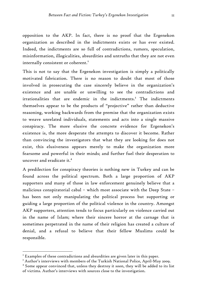opposition to the AKP. In fact, there is no proof that the Ergenekon organization as described in the indictments exists or has ever existed. Indeed, the indictments are so full of contradictions, rumors, speculation, misinformation, illogicalities, absurdities and untruths that they are not even internally consistent or coherent.<sup>2</sup>

This is not to say that the Ergenekon investigation is simply a politically motivated fabrication. There is no reason to doubt that most of those involved in prosecuting the case sincerely believe in the organization's existence and are unable or unwilling to see the contradictions and irrationalities that are endemic in the indictments.<sup>3</sup> The indictments themselves appear to be the products of "projective" rather than deductive reasoning, working backwards from the premise that the organization exists to weave unrelated individuals, statements and acts into a single massive conspiracy. The more elusive the concrete evidence for Ergenekon's existence is, the more desperate the attempts to discover it become. Rather than convincing the investigators that what they are looking for does not exist, this elusiveness appears merely to make the organization more fearsome and powerful in their minds; and further fuel their desperation to uncover and eradicate it.4

A predilection for conspiracy theories is nothing new in Turkey and can be found across the political spectrum. Both a large proportion of AKP supporters and many of those in law enforcement genuinely believe that a malicious conspiratorial cabal – which most associate with the Deep State – has been not only manipulating the political process but supporting or guiding a large proportion of the political violence in the country. Amongst AKP supporters, attention tends to focus particularly on violence carried out in the name of Islam; where their sincere horror at the carnage that is sometimes perpetrated in the name of their religion has created a culture of denial, and a refusal to believe that their fellow Muslims could be responsible.

 $2$  Examples of these contradictions and absurdities are given later in this paper.

 $^3$  Author's interviews with members of the Turkish National Police, April-May 2009. 4 Some appear convinced that, unless they destroy it soon, they will be added to its list of victims. Author's interviews with sources close to the investigation.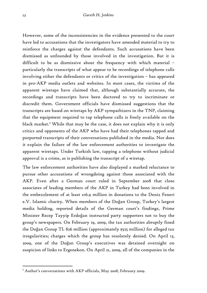However, some of the inconsistencies in the evidence presented to the court have led to accusations that the investigators have amended material to try to reinforce the charges against the defendants. Such accusations have been dismissed as unfounded by those involved in the investigation. But it is difficult to be as dismissive about the frequency with which material – particularly the transcripts of what appear to be recordings of telephone calls involving either the defendants or critics of the investigation – has appeared in pro-AKP media outlets and websites. In most cases, the victims of the apparent wiretaps have claimed that, although substantially accurate, the recordings and transcripts have been doctored to try to incriminate or discredit them. Government officials have dismissed suggestions that the transcripts are based on wiretaps by AKP sympathizers in the TNP, claiming that the equipment required to tap telephone calls is freely available on the black market.<sup>5</sup> While that may be the case, it does not explain why it is only critics and opponents of the AKP who have had their telephones tapped and purported transcripts of their conversations published in the media. Nor does it explain the failure of the law enforcement authorities to investigate the apparent wiretaps. Under Turkish law, tapping a telephone without judicial approval is a crime, as is publishing the transcript of a wiretap.

The law enforcement authorities have also displayed a marked reluctance to pursue other accusations of wrongdoing against those associated with the AKP. Even after a German court ruled in September 2008 that close associates of leading members of the AKP in Turkey had been involved in the embezzlement of at least  $\epsilon$ 16.9 million in donations to the Deniz Feneri e.V. Islamic charity. When members of the Doğan Group, Turkey's largest media holding, reported details of the German court's findings, Prime Minister Recep Tayyip Erdoğan instructed party supporters not to buy the group's newspapers. On February 19, 2009, the tax authorities abruptly fined the Doğan Group TL 826 million (approximately \$525 million) for alleged tax irregularities; charges which the group has resolutely denied. On April 13, 2009, one of the Doğan Group's executives was detained overnight on suspicion of links to Ergenekon. On April 21, 2009, all of the companies in the

 $^5$  Author's conversations with AKP officials, May 2008, February 2009.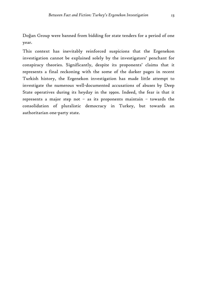Doğan Group were banned from bidding for state tenders for a period of one year.

This context has inevitably reinforced suspicions that the Ergenekon investigation cannot be explained solely by the investigators' penchant for conspiracy theories. Significantly, despite its proponents' claims that it represents a final reckoning with the some of the darker pages in recent Turkish history, the Ergenekon investigation has made little attempt to investigate the numerous well-documented accusations of abuses by Deep State operatives during its heyday in the 1990s. Indeed, the fear is that it represents a major step not – as its proponents maintain – towards the consolidation of pluralistic democracy in Turkey, but towards an authoritarian one-party state.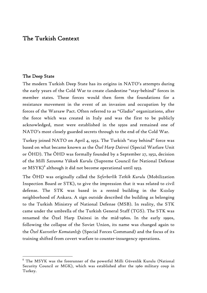### The Turkish Context

#### The Deep State

-

The modern Turkish Deep State has its origins in NATO's attempts during the early years of the Cold War to create clandestine "stay-behind" forces in member states. These forces would then form the foundations for a resistance movement in the event of an invasion and occupation by the forces of the Warsaw Pact. Often referred to as "Gladio" organizations, after the force which was created in Italy and was the first to be publicly acknowledged, most were established in the 1950s and remained one of NATO's most closely guarded secrets through to the end of the Cold War.

Turkey joined NATO on April 4, 1952. The Turkish "stay behind" force was based on what became known as the *Özel Harp Dairesi* (Special Warfare Unit or ÖHD). The ÖHD was formally founded by a September 27, 1952, decision of the *Milli Savunma Yüksek Kurulu* (Supreme Council for National Defense or  $\mathrm{MSYK})^6$  although it did not become operational until 1953.

The ÖHD was originally called the *Seferberlik Tetkik Kurulu* (Mobilization Inspection Board or STK), to give the impression that it was related to civil defense. The STK was based in a rented building in the Kızılay neighborhood of Ankara. A sign outside described the building as belonging to the Turkish Ministry of National Defense (MSB). In reality, the STK came under the umbrella of the Turkish General Staff (TGS). The STK was renamed the Özel Harp Dairesi in the mid-1960s. In the early 1990s, following the collapse of the Soviet Union, its name was changed again to the *Özel Kuvvetler Komutanlığı* (Special Forces Command) and the focus of its training shifted from covert warfare to counter-insurgency operations.

 $^6$  The MSYK was the forerunner of the powerful Milli Güvenlik Kurulu (National Security Council or MGK), which was established after the 1960 military coup in Turkey.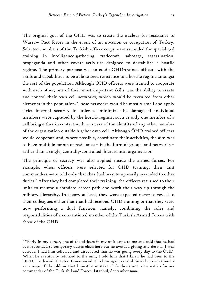The original goal of the ÖHD was to create the nucleus for resistance to Warsaw Pact forces in the event of an invasion or occupation of Turkey. Selected members of the Turkish officer corps were seconded for specialized training in intelligence-gathering, tradecraft, sabotage, assassination, propaganda and other covert activities designed to destabilize a hostile regime. The primary purpose was to equip ÖHD-trained officers with the skills and capabilities to be able to seed resistance to a hostile regime amongst the rest of the population. Although ÖHD officers were trained to cooperate with each other, one of their most important skills was the ability to create and control their own cell networks, which would be recruited from other elements in the population. These networks would be mostly small and apply strict internal security in order to minimize the damage if individual members were captured by the hostile regime; such as only one member of a cell being either in contact with or aware of the identity of any other member of the organization outside his/her own cell. Although ÖHD-trained officers would cooperate and, where possible, coordinate their activities, the aim was to have multiple points of resistance – in the form of groups and networks – rather than a single, centrally-controlled, hierarchical organization.

The principle of secrecy was also applied inside the armed forces. For example, when officers were selected for ÖHD training, their unit commanders were told only that they had been temporarily seconded to other duties.<sup>7</sup> After they had completed their training, the officers returned to their units to resume a standard career path and work their way up through the military hierarchy. In theory at least, they were expected never to reveal to their colleagues either that that had received ÖHD training or that they were now performing a dual function: namely, combining the roles and responsibilities of a conventional member of the Turkish Armed Forces with those of the ÖHD.

 $7$  "Early in my career, one of the officers in my unit came to me and said that he had been seconded to temporary duties elsewhere but he avoided giving any details. I was curious. I had him followed and discovered that he was going every day to the ÖHD. When he eventually returned to the unit, I told him that I knew he had been to the ÖHD. He denied it. Later, I mentioned it to him again several times but each time he very respectfully told me that I must be mistaken." Author's interview with a former commander of the Turkish Land Forces, Istanbul, September 1999.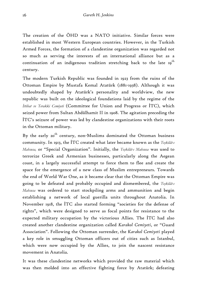The creation of the ÖHD was a NATO initiative. Similar forces were established in most Western European countries. However, in the Turkish Armed Forces, the formation of a clandestine organization was regarded not so much as serving the interests of an international alliance but as a continuation of an indigenous tradition stretching back to the late  $19^{th}$ century.

The modern Turkish Republic was founded in 1923 from the ruins of the Ottoman Empire by Mustafa Kemal Atatürk (1881-1938). Although it was undoubtedly shaped by Atatürk's personality and worldview, the new republic was built on the ideological foundations laid by the regime of the *İttihat ve Terakki Cemiyeti* (Committee for Union and Progress or İTC), which seized power from Sultan Abdülhamit II in 1908. The agitation preceding the İTC's seizure of power was led by clandestine organizations with their roots in the Ottoman military.

By the early  $20^{th}$  century, non-Muslims dominated the Ottoman business community. In 1913, the İTC created what later became known as the *Teşkilât-ı Mahsusa,* or "Special Organization". Initially, the *Teşkilât-ı Mahsusa* was used to terrorize Greek and Armenian businesses, particularly along the Aegean coast, in a largely successful attempt to force them to flee and create the space for the emergence of a new class of Muslim entrepreneurs. Towards the end of World War One, as it became clear that the Ottoman Empire was going to be defeated and probably occupied and dismembered, the *Teşkilât-ı Mahsusa* was ordered to start stockpiling arms and ammunition and begin establishing a network of local guerilla units throughout Anatolia. In November 1918, the İTC also started forming "societies for the defense of rights", which were designed to serve as focal points for resistance to the expected military occupation by the victorious Allies. The İTC had also created another clandestine organization called *Karakol Cemiyeti*, or "Guard Association". Following the Ottoman surrender, the *Karakol Cemiyeti* played a key role in smuggling Ottoman officers out of cities such as Istanbul, which were now occupied by the Allies, to join the nascent resistance movement in Anatolia.

It was these clandestine networks which provided the raw material which was then molded into an effective fighting force by Atatürk; defeating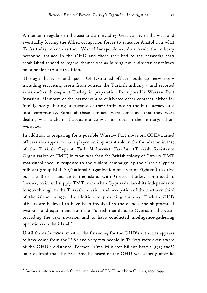Armenian irregulars in the east and an invading Greek army in the west and eventually forcing the Allied occupation forces to evacuate Anatolia in what Turks today refer to as their War of Independence. As a result, the military personnel trained in the ÖHD and those recruited to the networks they established tended to regard themselves as joining not a sinister conspiracy but a noble patriotic tradition.

Through the 1950s and 1960s, ÖHD-trained officers built up networks – including recruiting assets from outside the Turkish military – and secreted arms caches throughout Turkey in preparation for a possible Warsaw Pact invasion. Members of the networks also cultivated other contacts, either for intelligence gathering or because of their influence in the bureaucracy or a local community. Some of these contacts were conscious that they were dealing with a chain of acquaintance with its roots in the military; others were not.

In addition to preparing for a possible Warsaw Pact invasion, ÖHD-trained officers also appear to have played an important role in the foundation in 1957 of the Turkish Cypriot *Türk Mukavemet Teşkilatı* (Turkish Resistance Organization or TMT) in what was then the British colony of Cyprus. TMT was established in response to the violent campaign by the Greek Cypriot militant group EOKA (National Organization of Cypriot Fighters) to drive out the British and unite the island with Greece. Turkey continued to finance, train and supply TMT from when Cyprus declared its independence in 1960 through to the Turkish invasion and occupation of the northern third of the island in 1974. In addition to providing training, Turkish ÖHD officers are believed to have been involved in the clandestine shipment of weapons and equipment from the Turkish mainland to Cyprus in the years preceding the 1974 invasion and to have conducted intelligence-gathering operations on the island. $8$ 

Until the early 1970s, most of the financing for the ÖHD's activities appears to have come from the U.S.; and very few people in Turkey were even aware of the ÖHD's existence. Former Prime Minister Bülent Ecevit (1925-2006) later claimed that the first time he heard of the ÖHD was shortly after he

 8 Author's interviews with former members of TMT, northern Cyprus, 1996-1999.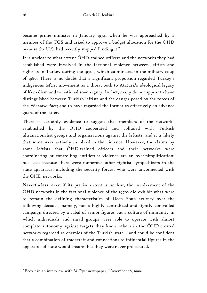became prime minister in January 1974, when he was approached by a member of the TGS and asked to approve a budget allocation for the ÖHD because the U.S. had recently stopped funding it.<sup>9</sup>

It is unclear to what extent ÖHD-trained officers and the networks they had established were involved in the factional violence between leftists and rightists in Turkey during the 1970s, which culminated in the military coup of 1980. There is no doubt that a significant proportion regarded Turkey's indigenous leftist movement as a threat both to Atatürk's ideological legacy of Kemalism and to national sovereignty. In fact, many do not appear to have distinguished between Turkish leftists and the danger posed by the forces of the Warsaw Pact; and to have regarded the former as effectively an advance guard of the latter.

There is certainly evidence to suggest that members of the networks established by the ÖHD cooperated and colluded with Turkish ultranationalist groups and organizations against the leftists; and it is likely that some were actively involved in the violence. However, the claims by some leftists that ÖHD-trained officers and their networks were coordinating or controlling anti-leftist violence are an over-simplification; not least because there were numerous other rightist sympathizers in the state apparatus, including the security forces, who were unconnected with the ÖHD networks.

Nevertheless, even if its precise extent is unclear, the involvement of the ÖHD networks in the factional violence of the 1970s did exhibit what were to remain the defining characteristics of Deep State activity over the following decades; namely, not a highly centralized and tightly controlled campaign directed by a cabal of senior figures but a culture of immunity in which individuals and small groups were able to operate with almost complete autonomy against targets they knew others in the ÖHD-created networks regarded as enemies of the Turkish state – and could be confident that a combination of tradecraft and connections to influential figures in the apparatus of state would ensure that they were never prosecuted.

<sup>9</sup> Ecevit in an interview with *Milliyet* newspaper, November 28, 1990.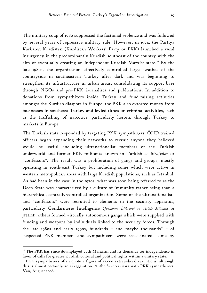The military coup of 1980 suppressed the factional violence and was followed by several years of repressive military rule. However, in 1984, the Partiya Karkaren Kurdistan (Kurdistan Workers' Party or PKK) launched a rural insurgency in the predominantly Kurdish southeast of the country with the aim of eventually creating an independent Kurdish Marxist state.<sup>10</sup> By the late 1980s, the organization effectively controlled large swathes of the countryside in southeastern Turkey after dark and was beginning to strengthen its infrastructure in urban areas, consolidating its support base through NGOs and pro-PKK journalists and publications. In addition to donations from sympathizers inside Turkey and fund-raising activities amongst the Kurdish diaspora in Europe, the PKK also extorted money from businesses in southeast Turkey and levied tithes on criminal activities, such as the trafficking of narcotics, particularly heroin, through Turkey to markets in Europe.

The Turkish state responded by targeting PKK sympathizers. ÖHD-trained officers began expanding their networks to recruit anyone they believed would be useful, including ultranationalist members of the Turkish underworld and former PKK militants known in Turkish as *itirafçılar* or "confessors". The result was a proliferation of gangs and groups, mostly operating in south-east Turkey but including some which were active in western metropolitan areas with large Kurdish populations, such as Istanbul. As had been in the case in the 1970s, what was soon being referred to as the Deep State was characterized by a culture of immunity rather being than a hierarchical, centrally-controlled organization. Some of the ultranationalists and "confessors" were recruited to elements in the security apparatus, particularly Gendarmerie Intelligence (*Jandarma İstihbarat ve Terörle Mücadele* or JİTEM); others formed virtually autonomous gangs which were supplied with funding and weapons by individuals linked to the security forces. Through the late 1980s and early 1990s, hundreds - and maybe thousands" - of suspected PKK members and sympathizers were assassinated; some by

<sup>&</sup>lt;sup>10</sup> The PKK has since downplayed both Marxism and its demands for independence in favor of calls for greater Kurdish cultural and political rights within a unitary state.<br>" PKK sympathizers often quote a figure of 17,000 extrajudicial executions, although

this is almost certainly an exaggeration. Author's interviews with PKK sympathizers, Van, August 2008.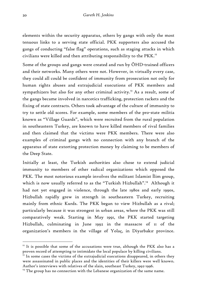elements within the security apparatus, others by gangs with only the most tenuous links to a serving state official. PKK supporters also accused the gangs of conducting "false flag" operations, such as staging attacks in which civilians were killed and then attributing responsibility to the PKK.<sup>12</sup>

Some of the groups and gangs were created and run by ÖHD-trained officers and their networks. Many others were not. However, in virtually every case, they could all could be confident of immunity from prosecution not only for human rights abuses and extrajudicial executions of PKK members and sympathizers but also for any other criminal activity.<sup>13</sup> As a result, some of the gangs became involved in narcotics trafficking, protection rackets and the fixing of state contracts. Others took advantage of the culture of immunity to try to settle old scores. For example, some members of the pro-state militia known as "Village Guards", which were recruited from the rural population in southeastern Turkey, are known to have killed members of rival families and then claimed that the victims were PKK members. There were also examples of criminal gangs with no connection with any branch of the apparatus of state extorting protection money by claiming to be members of the Deep State.

Initially at least, the Turkish authorities also chose to extend judicial immunity to members of other radical organizations which opposed the PKK. The most notorious example involves the militant Islamist İlim group, which is now usually referred to as the "Turkish Hizbullah".<sup>14</sup> Although it had not yet engaged in violence, through the late 1980s and early 1990s, Hizbullah rapidly grew in strength in southeastern Turkey, recruiting mainly from ethnic Kurds. The PKK began to view Hizbullah as a rival; particularly because it was strongest in urban areas, where the PKK was still comparatively weak. Starting in May 1991, the PKK started targeting Hizbullah, culminating in June 1992 in the massacre of 11 of the organization's members in the village of Yolaç, in Diyarbakır province.

 $12$  It is possible that some of the accusations were true, although the PKK also has a proven record of attempting to intimidate the local populace by killing civilians.

 $13$  In some cases the victims of the extrajudicial executions disappeared, in others they were assassinated in public places and the identities of their killers were well known. Author's interviews with relatives of the slain, southeast Turkey, 1992-1996.

 $14$  The group has no connection with the Lebanese organization of the same name.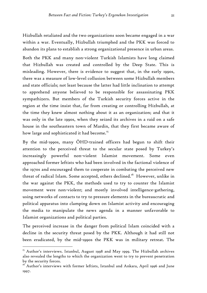Hizbullah retaliated and the two organizations soon became engaged in a war within a war. Eventually, Hizbullah triumphed and the PKK was forced to abandon its plans to establish a strong organizational presence in urban areas.

Both the PKK and many non-violent Turkish Islamists have long claimed that Hizbullah was created and controlled by the Deep State. This is misleading. However, there is evidence to suggest that, in the early 1990s, there was a measure of low-level collusion between some Hizbullah members and state officials; not least because the latter had little inclination to attempt to apprehend anyone believed to be responsible for assassinating PKK sympathizers. But members of the Turkish security forces active in the region at the time insist that, far from creating or controlling Hizbullah, at the time they knew almost nothing about it as an organization; and that it was only in the late 1990s, when they seized its archives in a raid on a safe house in the southeastern town of Mardin, that they first became aware of how large and sophisticated it had become.<sup>15</sup>

By the mid-1990s, many ÖHD-trained officers had begun to shift their attention to the perceived threat to the secular state posed by Turkey's increasingly powerful non-violent Islamist movement. Some even approached former leftists who had been involved in the factional violence of the 1970s and encouraged them to cooperate in combating the perceived new threat of radical Islam. Some accepted, others declined.<sup>16</sup> However, unlike in the war against the PKK, the methods used to try to counter the Islamist movement were non-violent; and mostly involved intelligence-gathering, using networks of contacts to try to pressure elements in the bureaucratic and political apparatus into clamping down on Islamist activity and encouraging the media to manipulate the news agenda in a manner unfavorable to Islamist organizations and political parties.

The perceived increase in the danger from political Islam coincided with a decline in the security threat posed by the PKK. Although it had still not been eradicated, by the mid-1990s the PKK was in military retreat. The

<sup>&</sup>lt;sup>15</sup> Author's interviews. Istanbul, August 1998 and May 1999. The Hizbullah archives also revealed the lengths to which the organization went to try to prevent penetration by the security forces.

<sup>&</sup>lt;sup>16</sup> Author's interviews with former leftists, Istanbul and Ankara, April 1996 and June 1997.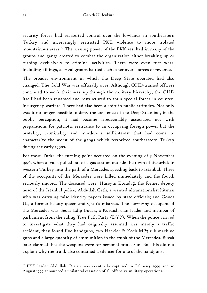security forces had reasserted control over the lowlands in southeastern Turkey and increasingly restricted PKK violence to more isolated mountainous areas.17 The waning power of the PKK resulted in many of the groups and gangs created to combat the organization either breaking up or turning exclusively to criminal activities. There were even turf wars, including killings, as rival groups battled each other over sources of revenue.

The broader environment in which the Deep State operated had also changed. The Cold War was officially over. Although ÖHD-trained officers continued to work their way up through the military hierarchy, the ÖHD itself had been renamed and restructured to train special forces in counterinsurgency warfare. There had also been a shift in public attitudes. Not only was it no longer possible to deny the existence of the Deep State but, in the public perception, it had become irredeemably associated not with preparations for patriotic resistance to an occupying foreign power but the brutality, criminality and murderous self-interest that had come to characterize the worst of the gangs which terrorized southeastern Turkey during the early 1990s.

For most Turks, the turning point occurred on the evening of 3 November 1996, when a truck pulled out of a gas station outside the town of Susurluk in western Turkey into the path of a Mercedes speeding back to Istanbul. Three of the occupants of the Mercedes were killed immediately and the fourth seriously injured. The deceased were: Hüseyin Kocadağ, the former deputy head of the Istanbul police; Abdullah Çatlı, a wanted ultranationalist hitman who was carrying false identity papers issued by state officials; and Gonca Us, a former beauty queen and Çatlı's mistress. The surviving occupant of the Mercedes was Sedat Edip Bucak, a Kurdish clan leader and member of parliament from the ruling True Path Party (DYP). When the police arrived to investigate what they had originally assumed was merely a traffic accident, they found five handguns, two Heckler & Koch MP5 sub-machine guns and a large quantity of ammunition in the trunk of the Mercedes. Bucak later claimed that the weapons were for personal protection. But this did not explain why the trunk also contained a silencer for one of the handguns.

<sup>&</sup>lt;sup>17</sup> PKK leader Abdullah Öcalan was eventually captured in February 1999 and in August 1999 announced a unilateral cessation of all offensive military operations.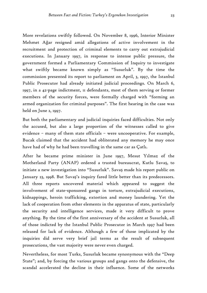More revelations swiftly followed. On November 8, 1996, Interior Minister Mehmet Ağar resigned amid allegations of active involvement in the recruitment and protection of criminal elements to carry out extrajudicial executions. In January 1997, in response to intense public pressure, the government formed a Parliamentary Commission of Inquiry to investigate what swiftly became known simply as "Susurluk". By the time the commission presented its report to parliament on April, 3, 1997, the Istanbul Public Prosecutor had already initiated judicial proceedings. On March 6, 1997, in a 42-page indictment, 11 defendants, most of them serving or former members of the security forces, were formally charged with "forming an armed organization for criminal purposes". The first hearing in the case was held on June 2, 1997.

But both the parliamentary and judicial inquiries faced difficulties. Not only the accused, but also a large proportion of the witnesses called to give evidence – many of them state officials – were uncooperative. For example, Bucak claimed that the accident had obliterated any memory he may once have had of why he had been travelling in the same car as Çatlı.

After he became prime minister in June 1997, Mesut Yılmaz of the Motherland Party (ANAP) ordered a trusted bureaucrat, Kutlu Savaş, to initiate a new investigation into "Susurluk". Savaş made his report public on January 23, 1998. But Savaş's inquiry fared little better than its predecessors. All three reports uncovered material which appeared to suggest the involvement of state-sponsored gangs in torture, extrajudicial executions, kidnappings, heroin trafficking, extortion and money laundering. Yet the lack of cooperation from other elements in the apparatus of state, particularly the security and intelligence services, made it very difficult to prove anything. By the time of the first anniversary of the accident at Susurluk, all of those indicted by the Istanbul Public Prosecutor in March 1997 had been released for lack of evidence. Although a few of those implicated by the inquiries did serve very brief jail terms as the result of subsequent prosecutions, the vast majority were never even charged.

Nevertheless, for most Turks, Susurluk became synonymous with the "Deep State"; and, by forcing the various groups and gangs onto the defensive, the scandal accelerated the decline in their influence. Some of the networks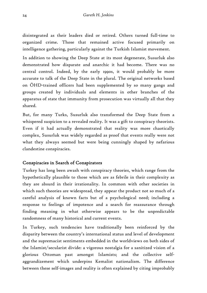disintegrated as their leaders died or retired. Others turned full-time to organized crime. Those that remained active focused primarily on intelligence gathering, particularly against the Turkish Islamist movement.

In addition to showing the Deep State at its most degenerate, Susurluk also demonstrated how disparate and anarchic it had become. There was no central control. Indeed, by the early 1990s, it would probably be more accurate to talk of the Deep State in the plural. The original networks based on ÖHD-trained officers had been supplemented by so many gangs and groups created by individuals and elements in other branches of the apparatus of state that immunity from prosecution was virtually all that they shared.

But, for many Turks, Susurluk also transformed the Deep State from a whispered suspicion to a revealed reality. It was a gift to conspiracy theorists. Even if it had actually demonstrated that reality was more chaotically complex, Susurluk was widely regarded as proof that events really were not what they always seemed but were being cunningly shaped by nefarious clandestine conspiracies.

#### Conspiracies in Search of Conspirators

Turkey has long been awash with conspiracy theories, which range from the hypothetically plausible to those which are as febrile in their complexity as they are absurd in their irrationality. In common with other societies in which such theories are widespread, they appear the product not so much of a careful analysis of known facts but of a psychological need; including a response to feelings of impotence and a search for reassurance through finding meaning in what otherwise appears to be the unpredictable randomness of many historical and current events.

In Turkey, such tendencies have traditionally been reinforced by the disparity between the country's international status and level of development and the supremacist sentiments embedded in the worldviews on both sides of the Islamist/secularist divide: a vigorous nostalgia for a sanitized vision of a glorious Ottoman past amongst Islamists; and the collective selfaggrandizement which underpins Kemalist nationalism. The difference between these self-images and reality is often explained by citing improbably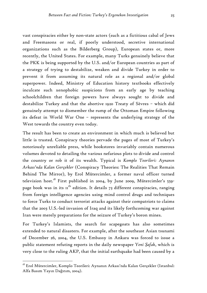vast conspiracies either by non-state actors (such as a fictitious cabal of Jews and Freemasons or real, if poorly understood, secretive international organizations such as the Bilderberg Group), European states or, more recently, the United States. For example, many Turks genuinely believe that the PKK is being supported by the U.S. and/or European countries as part of a strategy of trying to destabilize, weaken and divide Turkey in order to prevent it from assuming its natural role as a regional and/or global superpower. Indeed, Ministry of Education history textbooks effectively inculcate such xenophobic suspicions from an early age by teaching schoolchildren that foreign powers have always sought to divide and destabilize Turkey and that the abortive 1920 Treaty of Sèvres – which did genuinely attempt to dismember the rump of the Ottoman Empire following its defeat in World War One – represents the underlying strategy of the West towards the country even today.

The result has been to create an environment in which much is believed but little is trusted. Conspiracy theories pervade the pages of most of Turkey's notoriously unreliable press, while bookstores invariably contain numerous volumes devoted to detailing the various nefarious plots to divide and control the country or rob it of its wealth. Typical is *Komplo Teorileri: Aynanın Arkası'nda Kalan Gerçekler* (Conspiracy Theories: The Realities That Remain Behind The Mirror), by Erol Mütercimler, a former naval officer turned television host.18 First published in 2004, by June 2009, Mütercimler's 559 page book was in its  $I_I^{th}$  edition. It details 73 different conspiracies, ranging from foreign intelligence agencies using mind control drugs and techniques to force Turks to conduct terrorist attacks against their compatriots to claims that the 2003 U.S.-led invasion of Iraq and its likely forthcoming war against Iran were merely preparations for the seizure of Turkey's boron mines.

For Turkey's Islamists, the search for scapegoats has also sometimes extended to natural disasters. For example, after the southeast Asian tsunami of December 26, 2004, the U.S. Embassy in Ankara was forced to issue a public statement refuting reports in the daily newspaper *Yeni Şafak*, which is very close to the ruling AKP, that the initial earthquake had been caused by a

<sup>&</sup>lt;sup>18</sup> Erol Mütercimler, Komplo Teorileri: Aynanın Arkası'nda Kalan Gerçekler (Istanbul: Alfa Basım Yayın Dağıtım, 2004).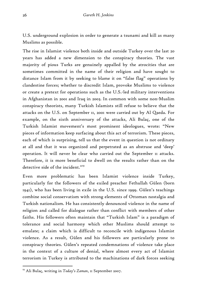U.S. underground explosion in order to generate a tsunami and kill as many Muslims as possible.

The rise in Islamist violence both inside and outside Turkey over the last 20 years has added a new dimension to the conspiracy theories. The vast majority of pious Turks are genuinely appalled by the atrocities that are sometimes committed in the name of their religion and have sought to distance Islam from it by seeking to blame it on "false flag" operations by clandestine forces; whether to discredit Islam, provoke Muslims to violence or create a pretext for operations such as the U.S.-led military interventions in Afghanistan in 2001 and Iraq in 2003. In common with some non-Muslim conspiracy theorists, many Turkish Islamists still refuse to believe that the attacks on the U.S. on September 11, 2001 were carried out by Al Qaeda. For example, on the sixth anniversary of the attacks, Ali Bulaç, one of the Turkish Islamist movement's most prominent ideologues, wrote: "New pieces of information keep surfacing about this act of terrorism. These pieces, each of which is surprising, tell us that the event in question is not ordinary at all and that it was organized and perpetrated as an abstruse and 'deep' operation. It will never be clear who carried out the September 11 attacks. Therefore, it is more beneficial to dwell on the results rather than on the detective side of the incident."<sup>19</sup>

Even more problematic has been Islamist violence inside Turkey, particularly for the followers of the exiled preacher Fethullah Gülen (born 1941), who has been living in exile in the U.S. since 1999. Gülen's teachings combine social conservatism with strong elements of Ottoman nostalgia and Turkish nationalism. He has consistently denounced violence in the name of religion and called for dialogue rather than conflict with members of other faiths. His followers often maintain that "Turkish Islam" is a paradigm of tolerance and social harmony which other Muslims should attempt to emulate; a claim which is difficult to reconcile with indigenous Islamist violence. As a result, Gülen and his followers are particularly prone to conspiracy theories. Gülen's repeated condemnations of violence take place in the context of a culture of denial, where almost every act of Islamist terrorism in Turkey is attributed to the machinations of dark forces seeking

<sup>19</sup> Ali Bulaç, writing in *Today's Zaman*, 11 September 2007.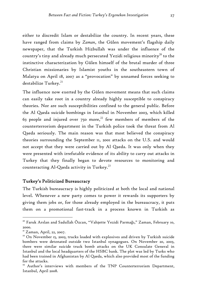either to discredit Islam or destabilize the country. In recent years, these have ranged from claims by *Zaman*, the Gülen movement's flagship daily newspaper, that the Turkish Hizbullah was under the influence of the country's tiny and already much persecuted Yezidi religious minority<sup>20</sup> to the instinctive characterization by Gülen himself of the brutal murder of three Christian missionaries by Islamist youths in the southeastern town of Malatya on April 18, 2007 as a "provocation" by unnamed forces seeking to destabilize  $T$ urkey.<sup>21</sup>

The influence now exerted by the Gülen movement means that such claims can easily take root in a country already highly susceptible to conspiracy theories. Nor are such susceptibilities confined to the general public. Before the Al Qaeda suicide bombings in Istanbul in November 2003, which killed 63 people and injured over 750 more,<sup>22</sup> few members of members of the counterterrorism department in the Turkish police took the threat from Al Qaeda seriously. The main reason was that most believed the conspiracy theories surrounding the September 11, 2001 attacks on the U.S. and would not accept that they were carried out by Al Qaeda. It was only when they were presented with irrefutable evidence of its ability to carry out attacks in Turkey that they finally began to devote resources to monitoring and counteracting Al-Qaeda activity in Turkey.<sup>23</sup>

#### Turkey's Politicized Bureaucracy

The Turkish bureaucracy is highly politicized at both the local and national level. Whenever a new party comes to power it rewards its supporters by giving them jobs or, for those already employed in the bureaucracy, it puts them on a promotional fast-track in a process known in Turkish as

<sup>20</sup> Faruk Arslan and Sadullah Özcan, "Vahşette Yezidi Parmağı," Zaman, February 10, 2000.

<sup>&</sup>lt;sup>21</sup> Zaman, April, 22, 2007.

<sup>&</sup>lt;sup>22</sup> On November 15, 2003, trucks loaded with explosives and driven by Turkish suicide bombers were detonated outside two Istanbul synagogues. On November 20, 2003, there were similar suicide truck bomb attacks on the UK Consulate General in Istanbul and the local headquarters of the HSBC bank. The plot was led by Turks who had been trained in Afghanistan by Al Qaeda, which also provided most of the funding for the attacks.

<sup>&</sup>lt;sup>23</sup> Author's interviews with members of the TNP Counterterrorism Department, Istanbul, April 2008.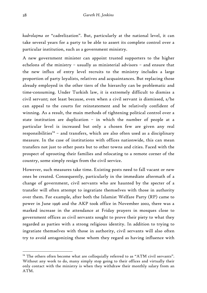*kadrolaşma* or "cadrelization". But, particularly at the national level, it can take several years for a party to be able to assert its complete control over a particular institution, such as a government ministry.

A new government minister can appoint trusted supporters to the higher echelons of the ministry – usually as ministerial advisors – and ensure that the new influx of entry level recruits to the ministry includes a large proportion of party loyalists, relatives and acquaintances. But replacing those already employed in the other tiers of the hierarchy can be problematic and time-consuming. Under Turkish law, it is extremely difficult to dismiss a civil servant; not least because, even when a civil servant is dismissed, s/he can appeal to the courts for reinstatement and be relatively confident of winning. As a result, the main methods of tightening political control over a state institution are duplication – in which the number of people at a particular level is increased but only a chosen few are given any real responsibilities<sup>24</sup> - and transfers, which are also often used as a disciplinary measure. In the case of institutions with offices nationwide, this can mean transfers not just to other posts but to other towns and cities. Faced with the prospect of uprooting their families and relocating to a remote corner of the country, some simply resign from the civil service.

However, such measures take time. Existing posts need to fall vacant or new ones be created. Consequently, particularly in the immediate aftermath of a change of government, civil servants who are haunted by the specter of a transfer will often attempt to ingratiate themselves with those in authority over them. For example, after both the Islamist Welfare Party (RP) came to power in June 1996 and the AKP took office in November 2002, there was a marked increase in the attendance at Friday prayers in mosques close to government offices as civil servants sought to prove their piety to what they regarded as parties with a strong religious identity. In addition to trying to ingratiate themselves with those in authority, civil servants will also often try to avoid antagonizing those whom they regard as having influence with

<sup>&</sup>lt;sup>24</sup> The others often become what are colloquially referred to as "ATM civil servants". Without any work to do, many simply stop going to their offices and virtually their only contact with the ministry is when they withdraw their monthly salary from an ATM.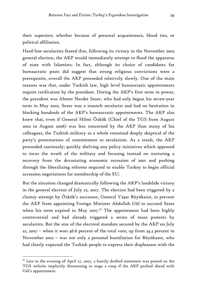their superiors; whether because of personal acquaintance, blood ties, or political affiliation.

Hard-line secularists feared that, following its victory in the November 2002 general election, the AKP would immediately attempt to flood the apparatus of state with Islamists. In fact, although its choice of candidates for bureaucratic posts did suggest that strong religious convictions were a prerequisite, overall the AKP proceeded relatively slowly. One of the main reasons was that, under Turkish law, high level bureaucratic appointments require ratification by the president. During the AKP's first term in power, the president was Ahmet Necdet Sezer, who had only begun his seven-year term in May 2002. Sezer was a staunch secularist and had no hesitation in blocking hundreds of the AKP's bureaucratic appointments. The AKP also knew that, even if General Hilmi Özkök (Chief of the TGS from August 2002 to August 2006) was less concerned by the AKP than many of his colleagues, the Turkish military as a whole remained deeply skeptical of the party's protestations of commitment to secularism. As a result, the AKP proceeded cautiously; quickly shelving any policy initiatives which appeared to incur the wrath of the military and focusing instead on nurturing a recovery from the devastating economic recession of 2001 and pushing through the liberalizing reforms required to enable Turkey to begin official accession negotiations for membership of the EU.

But the situation changed dramatically following the AKP's landslide victory in the general election of July 22, 2007. The election had been triggered by a clumsy attempt by Özkök's successor, General Yaşar Büyükanıt, to prevent the AKP from appointing Foreign Minister Abdullah Gül to succeed Sezer when his term expired in May 2007.<sup>25</sup> The appointment had been highly controversial and had already triggered a series of mass protests by secularists. But the size of the electoral mandate secured by the AKP on July 22, 2007 – when it won 46.6 percent of the total vote, up from 34.3 percent in November 2002 – was not only a personal humiliation for Büyükanıt, who had clearly expected the Turkish people to express their displeasure with the

 $25$  Late in the evening of April 27, 2007, a hastily drafted statement was posted on the TGS website implicitly threatening to stage a coup if the AKP pushed ahead with Gül's appointment.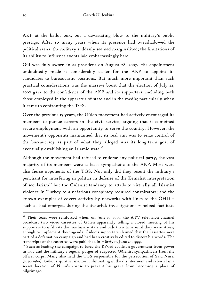AKP at the ballot box, but a devastating blow to the military's public prestige. After so many years when its presence had overshadowed the political arena, the military suddenly seemed marginalized; the limitations of its ability to influence events laid embarrassingly bare.

Gül was duly sworn in as president on August 28, 2007. His appointment undoubtedly made it considerably easier for the AKP to appoint its candidates to bureaucratic positions. But much more important than such practical considerations was the massive boost that the election of July 22, 2007 gave to the confidence of the AKP and its supporters, including both those employed in the apparatus of state and in the media; particularly when it came to confronting the TGS.

Over the previous 15 years, the Gülen movement had actively encouraged its members to pursue careers in the civil service, arguing that it combined secure employment with an opportunity to serve the country. However, the movement's opponents maintained that its real aim was to seize control of the bureaucracy as part of what they alleged was its long-term goal of eventually establishing an Islamic state.<sup>26</sup>

Although the movement had refused to endorse any political party, the vast majority of its members were at least sympathetic to the AKP. Most were also fierce opponents of the TGS. Not only did they resent the military's penchant for interfering in politics in defense of the Kemalist interpretation of secularism<sup>27</sup> but the Gülenist tendency to attribute virtually all Islamist violence in Turkey to a nefarious conspiracy required conspirators; and the known examples of covert activity by networks with links to the ÖHD – such as had emerged during the Susurluk investigations – helped facilitate

<sup>&</sup>lt;sup>26</sup> Their fears were reinforced when, on June 19, 1999, the ATV television channel broadcast two video cassettes of Gülen apparently telling a closed meeting of his supporters to infiltrate the machinery state and bide their time until they were strong enough to implement their agenda. Gülen's supporters claimed that the cassettes were part of a defamation campaign and had been creatively edited to distort his words. The transcripts of the cassettes were published in Hürriyet, June 20, 1999.

 $27$  Such as leading the campaign to force the RP-led coalition government from power in 1997 and the military's regular purges of suspected Gülenist sympathizers from the officer corps. Many also held the TGS responsible for the persecution of Said Nursi (1876-1960), Gülen's spiritual mentor, culminating in the disinterment and reburial in a secret location of Nursi's corpse to prevent his grave from becoming a place of pilgrimage.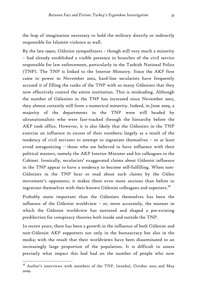the leap of imagination necessary to hold the military directly or indirectly responsible for Islamist violence as well.

By the late 1990s, Gülenist sympathizers – though still very much a minority – had already established a visible presence in branches of the civil service responsible for law enforcement, particularly in the Turkish National Police (TNP). The TNP is linked to the Interior Ministry. Since the AKP first came to power in November 2002, hard-line secularists have frequently accused it of filling the ranks of the TNP with so many Gülenists that they now effectively control the entire institution. This is misleading. Although the number of Gülenists in the TNP has increased since November 2002, they almost certainly still form a numerical minority. Indeed, in June 2009, a majority of the departments in the TNP were still headed by ultranationalists who were fast-tracked through the hierarchy before the AKP took office. However, it is also likely that the Gülenists in the TNP exercise an influence in excess of their numbers; largely as a result of the tendency of civil servants to attempt to ingratiate themselves – or at least avoid antagonizing – those who are believed to have influence with their political masters, namely the AKP Interior Minister and his colleagues in the Cabinet. Ironically, secularists' exaggerated claims about Gülenist influence in the TNP appear to have a tendency to become self-fulfilling. When non-Gülenists in the TNP hear or read about such claims by the Gülen movement's opponents, it makes them even more anxious than before to ingratiate themselves with their known Gülenist colleagues and superiors.<sup>28</sup>

Probably more important than the Gülenists themselves has been the influence of the Gülenist worldview – or, more accurately, the manner in which the Gülenist worldview has nurtured and shaped a pre-existing predilection for conspiracy theories both inside and outside the TNP.

In recent years, there has been a growth in the influence of both Gülenist and non-Gülenist AKP supporters not only in the bureaucracy but also in the media; with the result that their worldviews have been disseminated to an increasingly large proportion of the population. It is difficult to assess precisely what impact this had had on the number of people who now

 $2^8$  Author's interviews with members of the TNP, Istanbul, October 2005 and May 2009.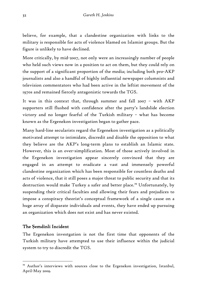believe, for example, that a clandestine organization with links to the military is responsible for acts of violence blamed on Islamist groups. But the figure is unlikely to have declined.

More critically, by mid-2007, not only were an increasingly number of people who held such views now in a position to act on them, but they could rely on the support of a significant proportion of the media; including both pro-AKP journalists and also a handful of highly influential newspaper columnists and television commentators who had been active in the leftist movement of the 1970s and remained fiercely antagonistic towards the TGS.

It was in this context that, through summer and fall 2007 – with AKP supporters still flushed with confidence after the party's landslide election victory and no longer fearful of the Turkish military – what has become known as the Ergenekon investigation began to gather pace.

Many hard-line secularists regard the Ergenekon investigation as a politically motivated attempt to intimidate, discredit and disable the opposition to what they believe are the AKP's long-term plans to establish an Islamic state. However, this is an over-simplification. Most of those actively involved in the Ergenekon investigation appear sincerely convinced that they are engaged in an attempt to eradicate a vast and immensely powerful clandestine organization which has been responsible for countless deaths and acts of violence, that it still poses a major threat to public security and that its destruction would make Turkey a safer and better place.<sup>29</sup> Unfortunately, by suspending their critical faculties and allowing their fears and prejudices to impose a conspiracy theorist's conceptual framework of a single cause on a huge array of disparate individuals and events, they have ended up pursuing an organization which does not exist and has never existed.

#### The **Ş**emdinli Incident

-

The Ergenekon investgation is not the first time that opponents of the Turkish military have attempted to use their influence within the judicial system to try to discredit the TGS.

<sup>&</sup>lt;sup>29</sup> Author's interviews with sources close to the Ergenekon investigation, Istanbul, April-May 2009.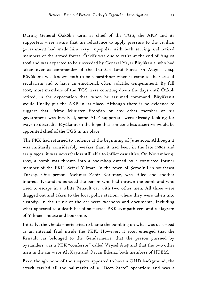During General Özkök's term as chief of the TGS, the AKP and its supporters were aware that his reluctance to apply pressure to the civilian government had made him very unpopular with both serving and retired members of the armed forces. Özkök was due to retire at the end of August 2006 and was expected to be succeeded by General Yaşar Büyükanıt, who had taken over as commander of the Turkish Land Forces in August 2004. Büyükanıt was known both to be a hard-liner when it came to the issue of secularism and to have an emotional, often volatile, temperament. By fall 2005, most members of the TGS were counting down the days until Özkök retired, in the expectation that, when he assumed command, Büyükanıt would finally put the AKP in its place. Although there is no evidence to suggest that Prime Minister Erdoğan or any other member of his government was involved, some AKP supporters were already looking for ways to discredit Büyükanıt in the hope that someone less assertive would be appointed chief of the TGS in his place.

The PKK had returned to violence at the beginning of June 2004. Although it was militarily considerably weaker than it had been in the late 1980s and early 1990s, it was nevertheless still able to inflict casualties. On November 9, 2005, a bomb was thrown into a bookshop owned by a convicted former member of the PKK, Seferi Yılmaz, in the town of Şemdinli in southeast Turkey. One person, Mehmet Zahir Korkmaz, was killed and another injured. Bystanders pursued the person who had thrown the bomb and who tried to escape in a white Renault car with two other men. All three were dragged out and taken to the local police station, where they were taken into custody. In the trunk of the car were weapons and documents, including what appeared to a death list of suspected PKK sympathizers and a diagram of Yılmaz's house and bookshop.

Initially, the Gendarmerie tried to blame the bombing on what was described as an internal feud inside the PKK. However, it soon emerged that the Renault car belonged to the Gendarmerie, that the person pursued by bystanders was a PKK "confessor" called Veysel Ateş and that the two other men in the car were Ali Kaya and Özcan İldeniz, both members of JİTEM.

Even though none of the suspects appeared to have a ÖHD background, the attack carried all the hallmarks of a "Deep State" operation; and was a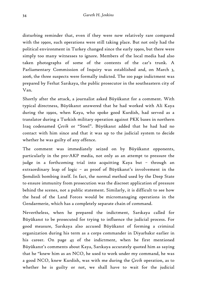disturbing reminder that, even if they were now relatively rare compared with the 1990s, such operations were still taking place. But not only had the political environment in Turkey changed since the early 1990s, but there were simply too many witnesses to ignore. Members of the local media had also taken photographs of some of the contents of the car's trunk. A Parliamentary Commission of Inquiry was established and, on March 3, 2006, the three suspects were formally indicted. The 100 page indictment was prepared by Ferhat Sarıkaya, the public prosecutor in the southeastern city of Van.

Shortly after the attack, a journalist asked Büyükanıt for a comment. With typical directness, Büyükanıt answered that he had worked with Ali Kaya during the 1990s, when Kaya, who spoke good Kurdish, had served as a translator during a Turkish military operation against PKK bases in northern Iraq codenamed *Çevik* or "Steel". Büyükanıt added that he had had no contact with him since and that it was up to the judicial system to decide whether he was guilty of any offence.

The comment was immediately seized on by Büyükanıt opponents, particularly in the pro-AKP media, not only as an attempt to pressure the judge in a forthcoming trial into acquitting Kaya but – through an extraordinary leap of logic – as proof of Büyükanıt's involvement in the Şemdinli bombing itself. In fact, the normal method used by the Deep State to ensure immunity from prosecution was the discreet application of pressure behind the scenes, not a public statement. Similarly, it is difficult to see how the head of the Land Forces would be micromanaging operations in the Gendarmerie, which has a completely separate chain of command.

Nevertheless, when he prepared the indictment, Sarıkaya called for Büyükanıt to be prosecuted for trying to influence the judicial process. For good measure, Sarıkaya also accused Büyükanıt of forming a criminal organization during his term as a corps commander in Diyarbakır earlier in his career. On page 43 of the indictment, when he first mentioned Büyükanıt's comments about Kaya, Sarıkaya accurately quoted him as saying that he "knew him as an NCO, he used to work under my command, he was a good NCO, knew Kurdish, was with me during the *Çevik* operation, as to whether he is guilty or not, we shall have to wait for the judicial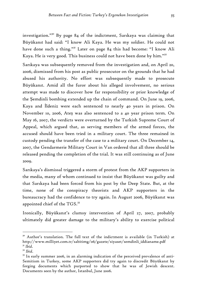investigation."30 By page 84 of the indictment, Sarıkaya was claiming that Büyükanıt had said: "I know Ali Kaya. He was my soldier. He could not have done such a thing."31 Later on page 84 this had become: "I know Ali Kaya. He is very good. This business could not have been done by him."32

Sarıkaya was subsequently removed from the investigation and, on April 20, 2006, dismissed from his post as public prosecutor on the grounds that he had abused his authority. No effort was subsequently made to prosecute Büyükanıt. Amid all the furor about his alleged involvement, no serious attempt was made to discover how far responsibility or prior knowledge of the Şemdinli bombing extended up the chain of command. On June 19, 2006, Kaya and İldeniz were each sentenced to nearly 40 years in prison. On November 10, 2006, Ateş was also sentenced to a 40 year prison term. On May 16, 2007, the verdicts were overturned by the Turkish Supreme Court of Appeal, which argued that, as serving members of the armed forces, the accused should have been tried in a military court. The three remained in custody pending the transfer of the case to a military court. On December 14, 2007, the Gendarmerie Military Court in Van ordered that all three should be released pending the completion of the trial. It was still continuing as of June 2009.

Sarıkaya's dismissal triggered a storm of protest from the AKP supporters in the media, many of whom continued to insist that Büyükanıt was guilty and that Sarıkaya had been forced from his post by the Deep State. But, at the time, none of the conspiracy theorists and AKP supporters in the bureaucracy had the confidence to try again. In August 2006, Büyükanıt was appointed chief of the TGS.<sup>33</sup>

Ironically, Büyükanıt's clumsy intervention of April 27, 2007, probably ultimately did greater damage to the military's ability to exercise political

<sup>&</sup>lt;sup>30</sup> Author's translation. The full text of the indictment is available (in Turkish) at http://www.milliyet.com.tr/sabitimg/06/gazete/siyaset/semdinli\_iddianame.pdf

<sup>&</sup>lt;sup>31</sup> Ibid.<br><sup>32</sup> Ibid.<br><sup>33</sup> In early summer 2006, in an alarming indication of the perceived prevalence of anti-Semitism in Turkey, some AKP supporters did try again to discredit Büyükanıt by forging documents which purported to show that he was of Jewish descent. Documents seen by the author, Istanbul, June 2006.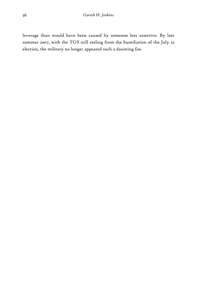leverage than would have been caused by someone less assertive. By late summer 2007, with the TGS still reeling from the humiliation of the July 22 election, the military no longer appeared such a daunting foe.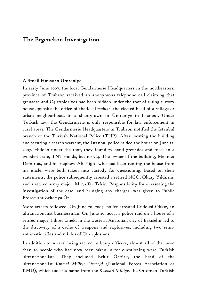# The Ergenekon Investigation

## A Small House in Ümran**i**ye

In early June 2007, the local Gendarmerie Headquarters in the northeastern province of Trabzon received an anonymous telephone call claiming that grenades and C4 explosives had been hidden under the roof of a single-story house opposite the office of the local *muhtar*, the elected head of a village or urban neighborhood, in a shantytown in Ümraniye in Istanbul. Under Turkish law, the Gendarmerie is only responsible for law enforcement in rural areas. The Gendarmerie Headquarters in Trabzon notified the Istanbul branch of the Turkish National Police (TNP). After locating the building and securing a search warrant, the Istanbul police raided the house on June 12, 2007. Hidden under the roof, they found 27 hand grenades and fuses in a wooden crate, TNT molds, but no C4. The owner of the building, Mehmet Demirtaş, and his nephew Ali Yiğit, who had been renting the house from his uncle, were both taken into custody for questioning. Based on their statements, the police subsequently arrested a retired NCO, Oktay Yıldırım, and a retired army major, Muzaffer Tekin. Responsibility for overseeing the investigation of the case, and bringing any charges, was given to Public Prosecutor Zekeriya Öz.

More arrests followed. On June 20, 2007, police arrested Kuddusi Okkır, an ultranationalist businessman. On June 26, 2007, a police raid on a house of a retired major, Fikret Emek, in the western Anatolian city of Eskişehir led to the discovery of a cache of weapons and explosives, including two semiautomatic rifles and II kilos of C3 explosives.

In addition to several being retired military officers, almost all of the more than 20 people who had now been taken in for questioning were Turkish ultranationalists. They included Bekir Öztürk, the head of the ultranationalist *Kuvvai Milliye Derneği* (National Forces Association or KMD), which took its name from the *Kuvva-i Milliye,* the Ottoman Turkish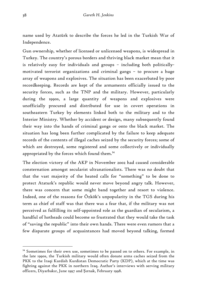name used by Atatürk to describe the forces he led in the Turkish War of Independence.

Gun ownership, whether of licensed or unlicensed weapons, is widespread in Turkey. The country's porous borders and thriving black market mean that it is relatively easy for individuals and groups – including both politicallymotivated terrorist organizations and criminal gangs – to procure a huge array of weapons and explosives. The situation has been exacerbated by poor recordkeeping. Records are kept of the armaments officially issued to the security forces, such as the TNP and the military. However, particularly during the 1990s, a large quantity of weapons and explosives were unofficially procured and distributed for use in covert operations in southeastern Turkey by elements linked both to the military and to the Interior Ministry. Whether by accident or design, many subsequently found their way into the hands of criminal gangs or onto the black market. The situation has long been further complicated by the failure to keep adequate records of the contents of illegal caches seized by the security forces; some of which are destroyed, some registered and some collectively or individually appropriated by the forces which found them.<sup>34</sup>

The election victory of the AKP in November 2002 had caused considerable consternation amongst secularist ultranationalists. There was no doubt that that the vast majority of the heated calls for "something" to be done to protect Ataturk's republic would never move beyond angry talk. However, there was concern that some might band together and resort to violence. Indeed, one of the reasons for Özkök's unpopularity in the TGS during his term as chief of staff was that there was a fear that, if the military was not perceived as fulfilling its self-appointed role as the guardian of secularism, a handful of hotheads could become so frustrated that they would take the task of "saving the republic" into their own hands. There were even rumors that a few disparate groups of acquaintances had moved beyond talking, formed

<sup>&</sup>lt;sup>34</sup> Sometimes for their own use, sometimes to be passed on to others. For example, in the late 1990s, the Turkish military would often donate arms caches seized from the PKK to the Iraqi Kurdish Kurdistan Democratic Party (KDP), which at the time was fighting against the PKK in northern Iraq. Author's interviews with serving military officers, Diyarbakır, June 1997 and Şırnak, February 1998.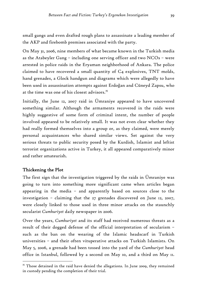small gangs and even drafted rough plans to assassinate a leading member of the AKP and firebomb premises associated with the party.

On May 31, 2006, nine members of what became known in the Turkish media as the Atabeyler Gang – including one serving officer and two NCOs – were arrested in police raids in the Eryaman neighborhood of Ankara. The police claimed to have recovered a small quantity of C4 explosives, TNT molds, hand grenades, a Glock handgun and diagrams which were allegedly to have been used in assassination attempts against Erdoğan and Cüneyd Zapsu, who at the time was one of his closest advisors.<sup>35</sup>

Initially, the June 12, 2007 raid in Ümraniye appeared to have uncovered something similar. Although the armaments recovered in the raids were highly suggestive of some form of criminal intent, the number of people involved appeared to be relatively small. It was not even clear whether they had really formed themselves into a group or, as they claimed, were merely personal acquaintances who shared similar views. Set against the very serious threats to public security posed by the Kurdish, Islamist and leftist terrorist organizations active in Turkey, it all appeared comparatively minor and rather amateurish.

### Thickening the Plot

-

The first sign that the investigation triggered by the raids in Ümraniye was going to turn into something more significant came when articles began appearing in the media – and apparently based on sources close to the investigation – claiming that the 27 grenades discovered on June 12, 2007, were closely linked to those used in three minor attacks on the staunchly secularist *Cumhuriyet* daily newspaper in 2006.

Over the years, *Cumhuriyet* and its staff had received numerous threats as a result of their dogged defense of the official interpretation of secularism – such as the ban on the wearing of the Islamic headscarf in Turkish universities – and their often vituperative attacks on Turkish Islamists. On May 5, 2006, a grenade had been tossed into the yard of the *Cumhuriyet* head office in Istanbul, followed by a second on May 10, and a third on May 11.

<sup>&</sup>lt;sup>35</sup> Those detained in the raid have denied the allegations. In June 2009, they remained in custody pending the completion of their trial.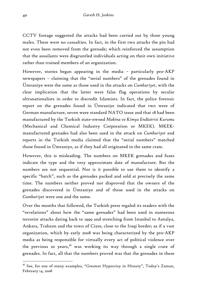CCTV footage suggested the attacks had been carried out by three young males. There were no casualties. In fact, in the first two attacks the pin had not even been removed from the grenade; which reinforced the assumption that the assailants were disgruntled individuals acting on their own initiative rather than trained members of an organization.

However, stories began appearing in the media – particularly pro-AKP newspapers – claiming that the "serial numbers" of the grenades found in Ümraniye were the same as those used in the attacks on *Cumhuriyet*, with the clear implication that the latter were false flag operations by secular ultranationalists in order to discredit Islamists. In fact, the police forensic report on the grenades found in Ümraniye indicated that two were of German manufacture, seven were standard NATO issue and that 18 had been manufactured by the Turkish state-owned *Makina ve Kimya Endüstrisi Kurumu*  (Mechanical and Chemical Industry Corporation or MKEK). MKEKmanufactured grenades had also been used in the attack on *Cumhuriyet* and reports in the Turkish media claimed that the "serial numbers" matched those found in Ümraniye, as if they had all originated in the same crate.

However, this is misleading. The numbers on MKEK grenades and fuses indicate the type and the very approximate date of manufacture. But the numbers are not sequential. Nor is it possible to use them to identify a specific "batch", such as the grenades packed and sold at precisely the same time. The numbers neither proved nor disproved that the owners of the grenades discovered in Ümraniye and of those used in the attacks on *Cumhuriyet* were one and the same.

Over the months that followed, the Turkish press regaled its readers with the "revelations" about how the "same grenades" had been used in numerous terrorist attacks dating back to 1999 and stretching from Istanbul to Antalya, Ankara, Trabzon and the town of Cizre, close to the Iraqi border; as if a vast organization, which by early 2008 was being characterized by the pro-AKP media as being responsible for virtually every act of political violence over the previous 20 years,<sup>36</sup> was working its way through a single crate of grenades. In fact, all that the numbers proved was that the grenades in these

 $36$  See, for one of many examples, "Greatest Hypocrisy in History", Today's Zaman, February 14, 2008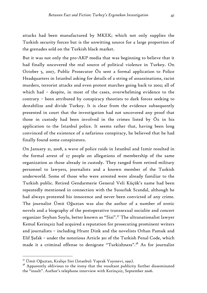attacks had been manufactured by MKEK; which not only supplies the Turkish security forces but is the unwitting source for a large proportion of the grenades sold on the Turkish black market.

But it was not only the pro-AKP media that was beginning to believe that it had finally uncovered the real source of political violence in Turkey. On October 5, 2007, Public Prosecutor Öz sent a formal application to Police Headquarters in Istanbul asking for details of a string of assassinations, racist murders, terrorist attacks and even protest marches going back to 2002; all of which had – despite, in most of the cases, overwhelming evidence to the contrary – been attributed by conspiracy theorists to dark forces seeking to destabilize and divide Turkey. It is clear from the evidence subsequently presented in court that the investigation had not uncovered any proof that those in custody had been involved in the crimes listed by Öz in his application to the Istanbul police. It seems rather that, having been long convinced of the existence of a nefarious conspiracy, he believed that he had finally found some conspirators.

On January 21, 2008, a wave of police raids in Istanbul and Izmir resulted in the formal arrest of 27 people on allegations of membership of the same organization as those already in custody. They ranged from retired military personnel to lawyers, journalists and a known member of the Turkish underworld. Some of those who were arrested were already familiar to the Turkish public. Retired Gendarmerie General Veli Küçük's name had been repeatedly mentioned in connection with the Susurluk Scandal, although he had always protested his innocence and never been convicted of any crime. The journalist Ümit Oğuztan was also the author of a number of erotic novels and a biography of the postoperative transsexual socialite and concert organizer Seyhan Soylu, better known as "Sisi".37 The ultranationalist lawyer Kemal Kerinçsiz had acquired a reputation for prosecuting prominent writers and journalists – including Hrant Dink and the novelists Orhan Pamuk and Elif Şafak – under the notorious Article 301 of the Turkish Penal Code, which made it a criminal offense to denigrate "Turkishness".38 As for journalist

<sup>37</sup> Ümit Oğuztan, Kraliçe Sisi (Istanbul: Yaprak Yayınevi, 1991).

<sup>&</sup>lt;sup>38</sup> Apparently oblivious to the irony that the resultant publicity further disseminated the "insult". Author's telephone interview with Kerinçsiz, September 2006.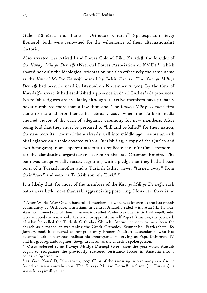Güler Kömürcü and Turkish Orthodox Church<sup>39</sup> Spokesperson Sevgi Erenerol, both were renowned for the vehemence of their ultranationalist rhetoric.

Also arrested was retired Land Forces Colonel Fikri Karadağ, the founder of the *Kuvayı Milliye Derneği* (National Forces Association or KMD),40 which shared not only the ideological orientation but also effectively the same name as the *Kuvvai Milliye Derneği* headed by Bekir Öztürk. The *Kuvayı Milliye Derneği* had been founded in Istanbul on November 11, 2005. By the time of Karadağ's arrest, it had established a presence in 69 of Turkey's 81 provinces. No reliable figures are available, although its active members have probably never numbered more than a few thousand. The *Kuvayı Milliye Derneği* first came to national prominence in February 2007, when the Turkish media showed videos of the oath of allegiance ceremony for new members. After being told that they must be prepared to "kill and be killed" for their nation, the new recruits – most of them already well into middle-age – swore an oath of allegiance on a table covered with a Turkish flag, a copy of the Qur'an and two handguns; in an apparent attempt to replicate the initiation ceremonies for the clandestine organizations active in the late Ottoman Empire. The oath was unequivocally racist, beginning with a pledge that they had all been born of a Turkish mother and a Turkish father, never "turned away" from their "race" and were "a Turkish son of a Turk".41

It is likely that, for most of the members of the *Kuvayı Milliye Derneği*, such oaths were little more than self-aggrandizing posturing. However, there is no

<sup>&</sup>lt;sup>39</sup> After World War One, a handful of members of what was known as the Karamanli community of Orthodox Christians in central Anatolia sided with Atatürk. In 1924, Atatürk allowed one of them, a maverick called Pavlos Karahisarithis (1884–1968) who later adopted the name Zeki Erenerol, to appoint himself Papa Efthimiou, the patriarch of what he called the Turkish Orthodox Church. Atatürk appears to have seen the church as a means of weakening the Greek Orthodox Ecumenical Patriarchate. By January 2008 it appeared to comprise only Erenerol's direct descendants, who had become Turkish ultranationalists; his great-grandson serving as Papa Efthimiou IV and his great-granddaughter, Sevgi Erenerol, as the church's spokesperson.

<sup>40</sup> Often referred to as Kuvayı Milliye Derneği (1919) after the year when Atatürk began to reorganize the previously scattered resistance forces in Anatolia into a cohesive fighting unit.

<sup>41 32.</sup> Gün, Kanal D, February 16, 2007. Clips of the swearing in ceremony can also be found at www.youtube.com. The Kuvayı Milliye Derneği website (in Turkish) is www.kuvayimilliye.net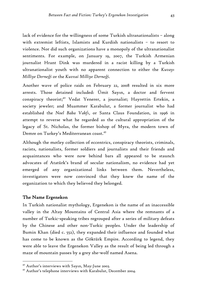lack of evidence for the willingness of some Turkish ultranationalists – along with extremist leftists, Islamists and Kurdish nationalists – to resort to violence. Nor did such organizations have a monopoly of the ultranationalist sentiments. For example, on January 19, 2007, the Turkish Armenian journalist Hrant Dink was murdered in a racist killing by a Turkish ultranationalist youth with no apparent connection to either the *Kuvayı Milliye Derneği* or the *Kuvvai Milliye Derneği.*

Another wave of police raids on February 22, 2008 resulted in six more arrests. Those detained included: Ümit Sayın, a doctor and fervent conspiracy theorist;<sup>42</sup> Vedat Yenerer, a journalist; Hayrettin Ertekin, a society jeweler; and Muammer Karabulut, a former journalist who had established the *Noel Baba Vakfı*, or Santa Claus Foundation, in 1996 in attempt to reverse what he regarded as the cultural appropriation of the legacy of St. Nicholas, the former bishop of Myra, the modern town of Demre on Turkey's Mediterranean coast.<sup>43</sup>

Although the motley collection of eccentrics, conspiracy theorists, criminals, racists, nationalists, former soldiers and journalists and their friends and acquaintances who were now behind bars all appeared to be staunch advocates of Atatürk's brand of secular nationalism, no evidence had yet emerged of any organizational links between them. Nevertheless, investigators were now convinced that they knew the name of the organization to which they believed they belonged.

## The Name Ergenekon

-

In Turkish nationalist mythology, Ergenekon is the name of an inaccessible valley in the Altay Mountains of Central Asia where the remnants of a number of Turkic-speaking tribes regrouped after a series of military defeats by the Chinese and other non-Turkic peoples. Under the leadership of Bumin Khan (died c. 552), they expanded their influence and founded what has come to be known as the Göktürk Empire. According to legend, they were able to leave the Ergenekon Valley as the result of being led through a maze of mountain passes by a grey she-wolf named Asena.

<sup>42</sup> Author's interviews with Sayın, May-June 2003.

 $43$  Author's telephone interviews with Karabulut, December 2004.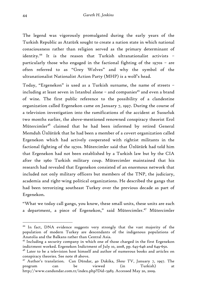The legend was vigorously promulgated during the early years of the Turkish Republic as Atatürk sought to create a nation state in which national consciousness rather than religion served as the primary determinant of identity.44 It is the reason that Turkish ultranationalist activists – particularly those who engaged in the factional fighting of the 1970s – are often referred to as "Grey Wolves" and why the symbol of the ultranationalist Nationalist Action Party (MHP) is a wolf's head.

Today, "Ergenekon" is used as a Turkish surname, the name of streets – including at least seven in Istanbul alone  $-$  and companies<sup>45</sup> and even a brand of wine. The first public reference to the possibility of a clandestine organization called Ergenekon came on January 7, 1997. During the course of a television investigation into the ramifications of the accident at Susurluk two months earlier, the above-mentioned renowned conspiracy theorist Erol Mütercimler<sup>46</sup> claimed that he had been informed by retired General Memduh Ünlütürk that he had been a member of a covert organization called Ergenekon which had actively cooperated with rightist militants in the factional fighting of the 1970s. Mütercimler said that Ünlütürk had told him that Ergenekon had not been established by a Turkish law but by the CIA after the 1960 Turkish military coup. Mütercimler maintained that his research had revealed that Ergenekon consisted of an enormous network that included not only military officers but members of the TNP, the judiciary, academia and right-wing political organizations. He described the gangs that had been terrorizing southeast Turkey over the previous decade as part of Ergenekon.

"What we today call gangs, you know, these small units, these units are each a department, a piece of Ergenekon," said Mütercimler.<sup>47</sup> Mütercimler

<sup>44</sup> In fact, DNA evidence suggests very strongly that the vast majority of the population of modern Turkey are descendants of the indigenous populations of Anatolia and the Balkans rather than Central Asia.

<sup>45</sup> Including a security company in which one of those charged in the first Ergenekon indictment worked. Ergenekon Indictment of July 10, 2008, pp. 645-646 and 649-650.

<sup>&</sup>lt;sup>46</sup> Later to be a television host himself and author of numerous books and articles on conspiracy theories. See note 18 above.

<sup>47</sup> Author's translation. Can Dündar, 40 Dakika, *Show TV*, January 7, 1997. The program can be viewed (in Turkish) at http://www.candundar.com.tr/index.php?Did=5983. Accessed May 20, 2009.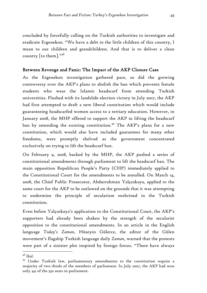concluded by forcefully calling on the Turkish authorities to investigate and eradicate Ergenekon. "We have a debt to the little children of this country, I mean to our children and grandchildren. And that is to deliver a clean country [to them]."48

## Between Revenge and Panic: The Impact of the AKP Closure Case

As the Ergenekon investigation gathered pace, so did the growing controversy over the AKP's plans to abolish the ban which prevents female students who wear the Islamic headscarf from attending Turkish universities. Flushed with its landslide election victory in July 2007, the AKP had first attempted to draft a new liberal constitution which would include guaranteeing headscarfed women access to a tertiary education. However, in January 2008, the MHP offered to support the AKP in lifting the headscarf ban by amending the existing constitution.<sup>49</sup> The AKP's plans for a new constitution, which would also have included guarantees for many other freedoms, were promptly shelved as the government concentrated exclusively on trying to lift the headscarf ban.

On February 9, 2008, backed by the MHP, the AKP pushed a series of constitutional amendments through parliament to lift the headscarf ban. The main opposition Republican People's Party (CHP) immediately applied to the Constitutional Court for the amendments to be annulled. On March 14, 2008, the Chief Public Prosecutor, Abdurrahman Yalçınkaya, applied to the same court for the AKP to be outlawed on the grounds that it was attempting to undermine the principle of secularism enshrined in the Turkish constitution.

Even before Yalçınkaya's application to the Constitutional Court, the AKP's supporters had already been shaken by the strength of the secularist opposition to the constitutional amendments. In an article in the English language *Today's Zaman*, Hüseyin Gülerce, the editor of the Gülen movement's flagship Turkish language daily *Zaman*, warned that the protests were part of a sinister plot inspired by foreign forces. "There have always

<sup>&</sup>lt;sup>48</sup> Ibid.<br><sup>49</sup> Under Turkish law, parliamentary amendments to the constitution require a majority of two thirds of the members of parliament. In July 2007, the AKP had won only 341 of the 550 seats in parliament.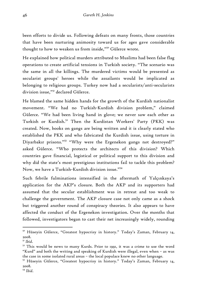been efforts to divide us. Following defeats on many fronts, those countries that have been nurturing animosity toward us for ages gave considerable thought to how to weaken us from inside,"50 Gülerce wrote.

He explained how political murders attributed to Muslims had been false flag operations to create artificial tensions in Turkish society. "The scenario was the same in all the killings. The murdered victims would be presented as secularist groups' heroes while the assailants would be implicated as belonging to religious groups. Turkey now had a secularists/anti-secularists division issue,"51 declared Gülerce.

He blamed the same hidden hands for the growth of the Kurdish nationalist movement. "We had no Turkish-Kurdish division problem," claimed Gülerce. "We had been living hand in glove; we never saw each other as Turkish or Kurdish.52 Then the Kurdistan Workers' Party (PKK) was created. Now, books on gangs are being written and it is clearly stated who established the PKK and who fabricated the Kurdish issue, using torture in Diyarbakır prisons."53 "Why were the Ergenekon gangs not destroyed?" asked Gülerce. "Who protects the architects of this division? Which countries gave financial, logistical or political support to this division and why did the state's most prestigious institutions fail to tackle this problem? Now, we have a Turkish-Kurdish division issue."54

Such febrile fulminations intensified in the aftermath of Yalçınkaya's application for the AKP's closure. Both the AKP and its supporters had assumed that the secular establishment was in retreat and too weak to challenge the government. The AKP closure case not only came as a shock but triggered another round of conspiracy theories. It also appears to have affected the conduct of the Ergenekon investigation. Over the months that followed, investigators began to cast their net increasingly widely, rounding

<sup>&</sup>lt;sup>50</sup> Hüseyin Gülerce, "Greatest hypocrisy in history." Today's Zaman, February 14, 2008.

<sup>&</sup>lt;sup>51</sup> Ibid.<br><sup>52</sup> This would be news to many Kurds. Prior to 1991, it was a crime to use the word "Kurd" and both the writing and speaking of Kurdish were illegal, even when – as was the case in some isolated rural areas – the local populace knew no other language.

<sup>53</sup> Hüseyin Gülerce, "Greatest hypocrisy in history." Today's Zaman, February 14, 2008.

<sup>54</sup> *Ibid*.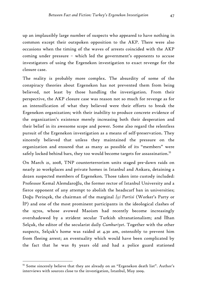up an implausibly large number of suspects who appeared to have nothing in common except their outspoken opposition to the AKP. There were also occasions when the timing of the waves of arrests coincided with the AKP coming under pressure – which led the government's opponents to accuse investigators of using the Ergenekon investigation to exact revenge for the closure case.

The reality is probably more complex. The absurdity of some of the conspiracy theories about Ergenekon has not prevented them from being believed, not least by those handling the investigation. From their perspective, the AKP closure case was reason not so much for revenge as for an intensification of what they believed were their efforts to break the Ergenekon organization; with their inability to produce concrete evidence of the organization's existence merely increasing both their desperation and their belief in its awesome scope and power. Some also regard the relentless pursuit of the Ergenekon investigation as a means of self-preservation. They sincerely believed that unless they maintained the pressure on the organization and ensured that as many as possible of its "members" were safely locked behind bars, they too would become targets for assassination. $^{55}$ 

On March 21, 2008, TNP counterterrorism units staged pre-dawn raids on nearly 20 workplaces and private homes in Istanbul and Ankara, detaining a dozen suspected members of Ergenekon. Those taken into custody included: Professor Kemal Alemdaroğlu, the former rector of Istanbul University and a fierce opponent of any attempt to abolish the headscarf ban in universities; Doğu Perinçek, the chairman of the marginal *İşçi Partisi* (Worker's Party or İP) and one of the most prominent participants in the ideological clashes of the 1970s, whose avowed Maoism had recently become increasingly overshadowed by a strident secular Turkish ultranationalism; and İlhan Selçuk, the editor of the secularist daily *Cumhuriyet*. Together with the other suspects, Selçuk's home was raided at 4.30 am, ostensibly to prevent him from fleeing arrest; an eventuality which would have been complicated by the fact that he was 83 years old and had a police guard stationed

<sup>&</sup>lt;sup>55</sup> Some sincerely believe that they are already on an "Ergenekon death list". Author's interviews with sources close to the investigation, Istanbul, May 2009.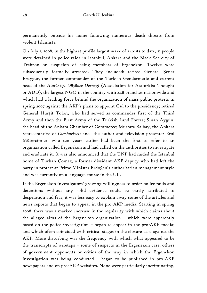permanently outside his home following numerous death threats from violent Islamists.

On July 1, 2008, in the highest profile largest wave of arrests to date, 21 people were detained in police raids in Istanbul, Ankara and the Black Sea city of Trabzon on suspicion of being members of Ergenekon. Twelve were subsequently formally arrested. They included: retired General Şener Eruygur, the former commander of the Turkish Gendarmerie and current head of the *Atatürkçü Düşünce Derneği* (Association for Ataturkist Thought or ADD), the largest NGO in the country with 448 branches nationwide and which had a leading force behind the organization of mass public protests in spring 2007 against the AKP's plans to appoint Gül to the presidency; retired General Hurşit Tolon, who had served as commander first of the Third Army and then the First Army of the Turkish Land Forces; Sinan Aygün, the head of the Ankara Chamber of Commerce; Mustafa Balbay, the Ankara representative of *Cumhuriyet*; and the author and television presenter Erol Mütercimler, who ten years earlier had been the first to refer to an organization called Ergenekon and had called on the authorities to investigate and eradicate it. It was also announced that the TNP had raided the Istanbul home of Turhan Çömez, a former dissident AKP deputy who had left the party in protest at Prime Minister Erdoğan's authoritarian management style and was currently on a language course in the UK.

If the Ergenekon investigators' growing willingness to order police raids and detentions without any solid evidence could be partly attributed to desperation and fear, it was less easy to explain away some of the articles and news reports that began to appear in the pro-AKP media. Starting in spring 2008, there was a marked increase in the regularity with which claims about the alleged aims of the Ergenekon organization – which were apparently based on the police investigation – began to appear in the pro-AKP media; and which often coincided with critical stages in the closure case against the AKP. More disturbing was the frequency with which what appeared to be the transcripts of wiretaps – some of suspects in the Ergenekon case, others of government opponents or critics of the way in which the Ergenekon investigation was being conducted – began to be published in pro-AKP newspapers and on pro-AKP websites. None were particularly incriminating,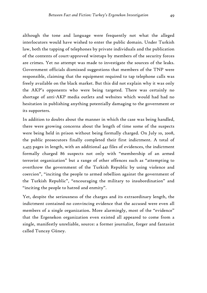although the tone and language were frequently not what the alleged interlocutors would have wished to enter the public domain. Under Turkish law, both the tapping of telephones by private individuals and the publication of the contents of court-approved wiretaps by members of the security forces are crimes. Yet no attempt was made to investigate the sources of the leaks. Government officials dismissed suggestions that members of the TNP were responsible, claiming that the equipment required to tap telephone calls was freely available on the black market. But this did not explain why it was only the AKP's opponents who were being targeted. There was certainly no shortage of anti-AKP media outlets and websites which would had had no hesitation in publishing anything potentially damaging to the government or its supporters.

In addition to doubts about the manner in which the case was being handled, there were growing concerns about the length of time some of the suspects were being held in prison without being formally charged. On July 10, 2008, the public prosecutors finally completed their first indictment. A total of 2,455 pages in length, with an additional 441 files of evidences, the indictment formally charged 86 suspects not only with "membership of an armed terrorist organization" but a range of other offences such as "attempting to overthrow the government of the Turkish Republic by using violence and coercion", "inciting the people to armed rebellion against the government of the Turkish Republic", "encouraging the military to insubordination" and "inciting the people to hatred and enmity".

Yet, despite the seriousness of the charges and its extraordinary length, the indictment contained no convincing evidence that the accused were even all members of a single organization. More alarmingly, most of the "evidence" that the Ergenekon organization even existed all appeared to come from a single, manifestly unreliable, source: a former journalist, forger and fantasist called Tuncay Güney.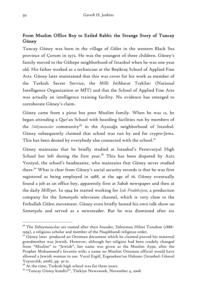## From Muslim Office Boy to Exiled Rabbi: the Strange Story of Tuncay Güney

Tuncay Güney was born in the village of Gölet in the western Black Sea province of Çorum in 1972. He was the youngest of three children. Güney's family moved to the Gültepe neighborhood of Istanbul when he was one year old. His father worked as a technician at the Beşiktaş School of Applied Fine Arts. Güney later maintained that this was cover for his work as member of the Turkish Secret Service, the *Milli İstihbarat Teşkilatı* (National Intelligence Organization or MİT) and that the School of Applied Fine Arts was actually an intelligence training facility. No evidence has emerged to corroborate Güney's claim.

Güney came from a pious but poor Muslim family. When he was 12, he began attending a Qur'an School with boarding facilities run by members of the *Süleymancılar* community<sup>56</sup> in the Ayazağa neighborhood of Istanbul. Güney subsequently claimed that school was run by and for crypto-Jews. This has been denied by everybody else connected with the school.<sup>57</sup>

Güney maintains that he briefly studied at Istanbul's Pertevniyal High School but left during the first year.<sup>58</sup> This has been disputed by Aziz Yeniyol, the school's headmaster, who maintains that Güney never studied there.59 What is clear from Güney's social security records is that he was first registered as being employed in 1988, at the age of 16. Güney eventually found a job as an office boy, apparently first at *Sabah* newspaper and then at the daily *Milliyet*. In 1994 he started working for *Işık Prodüksiyon*, a production company for the *Samanyolu* television channel, which is very close to the Fethullah Gülen movement. Güney even briefly hosted his own talk show on *Samanyolu* and served as a newsreader. But he was dismissed after six

<sup>56</sup> The Süleymancılar are named after their founder, Süleyman Hilmi Tunahan (1888– 1959), a religious scholar and member of the Naqshbandi religious order.

<sup>57</sup> Güney later produced an Ottoman document which he claimed proved his maternal grandmother was Jewish. However, although her religion had been crudely changed from "Muslim" to "Jewish", her name was given as the Muslim Ayşe, after the Prophet Muhammed's favorite wife; a name no Muslim Ottoman official would have allowed a Jewish woman to use. Vural Ergül, Ergenekon'un Hahamı (Istanbul: Güncel Yayıncılık, 2008), pp. 30-31.

<sup>&</sup>lt;sup>58</sup> At the time, Turkish high school was for three years.

<sup>59 &</sup>quot;Tuncay Güney kimdir?", Türkiye Newsweek, November 4, 2008.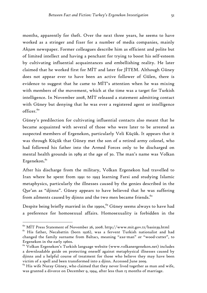months, apparently for theft. Over the next three years, he seems to have worked as a stringer and fixer for a number of media companies, mainly *Akşam* newspaper. Former colleagues describe him as efficient and polite but of limited intellect and having a penchant for trying to boost his self-esteem by cultivating influential acquaintances and embellishing reality. He later claimed that he worked first for MİT and later for JİTEM. Although Güney does not appear ever to have been an active follower of Gülen, there is evidence to suggest that he came to MİT's attention when he was mixing with members of the movement, which at the time was a target for Turkish intelligence. In November 2008, MİT released a statement admitting contact with Güney but denying that he was ever a registered agent or intelligence officer.<sup>60</sup>

Güney's predilection for cultivating influential contacts also meant that he became acquainted with several of those who were later to be arrested as suspected members of Ergenekon, particularly Veli Küçük. It appears that it was through Küçük that Güney met the son of a retired army colonel, who had followed his father into the Armed Forces only to be discharged on mental health grounds in 1989 at the age of 30. The man's name was Volkan Ergenekon.<sup>61</sup>

After his discharge from the military, Volkan Ergenekon had travelled to Iran where he spent from 1991 to 1993 learning Farsi and studying Islamic metaphysics, particularly the illnesses caused by the genies described in the Qur'an as "djinns". Güney appears to have believed that he was suffering from ailments caused by djinns and the two men became friends.<sup>62</sup>

Despite being briefly married in the 1990s, $63$  Güney seems always to have had a preference for homosexual affairs. Homosexuality is forbidden in the

 $^{60}$  MIT Press Statement of November 26, 2008. http://www.mit.gov.tr/basin39.html

<sup>&</sup>lt;sup>61</sup> His father, Necabattin (born 1926), was a fervent Turkish nationalist and had changed the family surname from Baltacı, meaning "axe-man" or "wood-cutter", to Ergenekon in the early 1960s.

 $62$  Volkan Ergenekon's Turkish language website (www.volkanergenekon.net) includes a downloadable guide on protecting oneself against metaphysical illnesses caused by djinns and a helpful course of treatment for those who believe they may have been victim of a spell and been transformed into a djinn. Accessed June 2009.

 $^{63}$  His wife Nuray Güney, who claimed that they never lived together as man and wife, was granted a divorce on December 9, 1994, after less than 15 months of marriage.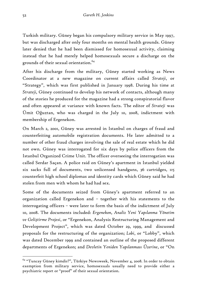Turkish military. Güney began his compulsory military service in May 1997, but was discharged after only four months on mental health grounds. Güney later denied that he had been dismissed for homosexual activity, claiming instead that he had merely helped homosexuals secure a discharge on the grounds of their sexual orientation.<sup>64</sup>

After his discharge from the military, Güney started working as News Coordinator at a new magazine on current affairs called *Strateji*, or "Strategy", which was first published in January 1998. During his time at *Strateji,* Güney continued to develop his network of contacts, although many of the stories he produced for the magazine had a strong conspiratorial flavor and often appeared at variance with known facts. The editor of *Strateji* was Ümit Oğuztan, who was charged in the July 10, 2008, indictment with membership of Ergenekon.

On March 2, 2001, Güney was arrested in Istanbul on charges of fraud and counterfeiting automobile registration documents. He later admitted to a number of other fraud charges involving the sale of real estate which he did not own. Güney was interrogated for six days by police officers from the Istanbul Organized Crime Unit. The officer overseeing the interrogation was called Serdar Saçan. A police raid on Güney's apartment in Istanbul yielded six sacks full of documents, two unlicensed handguns, 36 cartridges, 115 counterfeit high school diplomas and identity cards which Güney said he had stolen from men with whom he had had sex.

Some of the documents seized from Güney's apartment referred to an organization called Ergenekon and – together with his statements to the interrogating officers – were later to form the basis of the indictment of July 10, 2008. The documents included: *Ergenekon, Analiz Yeni Yapılanma Yönetim ve Geliştirme Projesi*, or "Ergenekon, Analysis Restructuring Management and Development Project", which was dated October 29, 1999, and discussed proposals for the restructuring of the organization; *Lobi*, or "Lobby", which was dated December 1999 and contained an outline of the proposed different departments of Ergenekon; and *Devletin Yeniden Yapılanması Üzerine*, or "On

<sup>64 &</sup>quot;Tuncay Güney kimdir?", Türkiye Newsweek, November 4, 2008. In order to obtain exemption from military service, homosexuals usually need to provide either a psychiatric report or "proof" of their sexual orientation.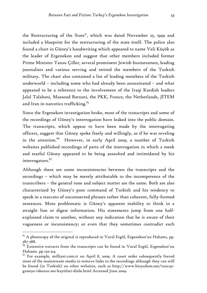the Restructuring of the State", which was dated November 25, 1999 and included a blueprint for the restructuring of the state itself. The police also found a chart in Güney's handwriting which appeared to name Veli Küçük as the leader of Ergenekon and suggest that other members included former Prime Minister Tansu Çiller, several prominent Jewish businessmen, leading journalists and various serving and retired the members of the Turkish military. The chart also contained a list of leading members of the Turkish underworld – including some who had already been assassinated – and what appeared to be a reference to the involvement of the Iraqi Kurdish leaders Jalal Talabani, Massoud Barzani, the PKK, France, the Netherlands, JİTEM and Iran in narcotics trafficking.<sup>65</sup>

Since the Ergenekon investigation broke, most of the transcripts and some of the recordings of Güney's interrogation have leaked into the public domain. The transcripts, which appear to have been made by the interrogating officers, suggest that Güney spoke freely and willingly, as if he was reveling in the attention.<sup>66</sup> However, in early April 2009, a number of Turkish websites published recordings of parts of the interrogation in which a meek and tearful Güney appeared to be being assaulted and intimidated by his interrogators.<sup>67</sup>

Although there are some inconsistencies between the transcripts and the recordings – which may be merely attributable to the incompetence of the transcribers – the general tone and subject matter are the same. Both are also characterized by Güney's poor command of Turkish and his tendency to speak in a staccato of unconnected phrases rather than coherent, fully-formed sentences. More problematic is Güney's apparent inability to think in a straight line or digest information. His statements jump from one halfexplained claim to another, without any indication that he is aware of their vagueness or inconsistency; or even that they sometimes contradict each

 $^{65}$  A photocopy of the original is reproduced in Vural Ergül, Ergenekon'un Hahamı, pp. 387-388.

 $66$  Extensive extracts from the transcripts can be found in Vural Ergül, Ergenekon'un Hahamı. pp 192-314

 $67$  For example, milliyet.com.tr on April 8, 2009. A court order subsequently forced most of the mainstream media to remove links to the recordings although they can still be found (in Turkish) on other websites, such as http://www.biryudum.net/tuncayguneye-iskence-ses-kayitlari-dinle.html Accessed June 2009.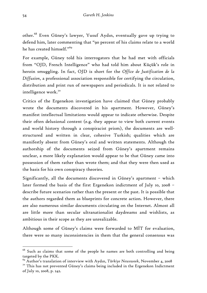other.68 Even Güney's lawyer, Yusuf Aydın, eventually gave up trying to defend him, later commenting that "90 percent of his claims relate to a world he has created himself."69

For example, Güney told his interrogators that he had met with officials from "OJD, French Intelligence" who had told him about Küçük's role in heroin smuggling. In fact, OJD is short for the *Office de Justification de la Diffusion*, a professional association responsible for certifying the circulation, distribution and print run of newspapers and periodicals. It is not related to intelligence work.<sup>70</sup>

Critics of the Ergenekon investigation have claimed that Güney probably wrote the documents discovered in his apartment. However, Güney's manifest intellectual limitations would appear to indicate otherwise. Despite their often delusional content (e.g. they appear to view both current events and world history through a conspiracist prism), the documents are wellstructured and written in clear, cohesive Turkish; qualities which are manifestly absent from Güney's oral and written statements. Although the authorship of the documents seized from Güney's apartment remains unclear, a more likely explanation would appear to be that Güney came into possession of them rather than wrote them; and that they were then used as the basis for his own conspiracy theories.

Significantly, all the documents discovered in Güney's apartment – which later formed the basis of the first Ergenekon indictment of July 10, 2008 – describe future scenarios rather than the present or the past. It is possible that the authors regarded them as blueprints for concrete action. However, there are also numerous similar documents circulating on the Internet. Almost all are little more than secular ultranationalist daydreams and wishlists, as ambitious in their scope as they are unrealizable.

Although some of Güney's claims were forwarded to MİT for evaluation, there were so many inconsistencies in them that the general consensus was

<sup>&</sup>lt;sup>68</sup> Such as claims that some of the people he names are both controlling and being targeted by the PKK.

<sup>69</sup> Author's translation of interview with Aydın, *Türkiye Newsweek*, November 4, 2008 <sup>70</sup> This has not prevented Güney's claims being included in the Ergenekon Indictment of July 10, 2008, p. 242.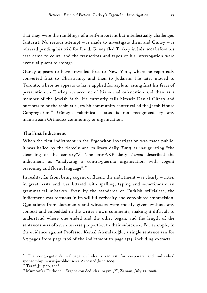that they were the ramblings of a self-important but intellectually challenged fantasist. No serious attempt was made to investigate them and Güney was released pending his trial for fraud. Güney fled Turkey in July 2001 before his case came to court, and the transcripts and tapes of his interrogation were eventually sent to storage.

Güney appears to have travelled first to New York, where he reportedly converted first to Christianity and then to Judaism. He later moved to Toronto, where he appears to have applied for asylum, citing first his fears of persecution in Turkey on account of his sexual orientation and then as a member of the Jewish faith. He currently calls himself Daniel Güney and purports to be the rabbi at a Jewish community center called the Jacob House Congregation.<sup>71</sup> Güney's rabbinical status is not recognized by any mainstream Orthodox community or organization.

## The First Indictment

When the first indictment in the Ergenekon investigation was made public, it was hailed by the fiercely anti-military daily *Taraf* as inaugurating "the cleansing of the century".72 The pro-AKP daily *Zaman* described the indictment as "analyzing a contra-guerilla organization with cogent reasoning and fluent language".73

In reality, far from being cogent or fluent, the indictment was clearly written in great haste and was littered with spelling, typing and sometimes even grammatical mistakes. Even by the standards of Turkish officialese, the indictment was tortuous in its willful verbosity and convoluted imprecision. Quotations from documents and wiretaps were mostly given without any context and embedded in the writer's own comments, making it difficult to understand where one ended and the other began; and the length of the sentences was often in inverse proportion to their substance. For example, in the evidence against Professor Kemal Alemdaroğlu, a single sentence ran for 8.5 pages from page 1366 of the indictment to page 1375, including extracts –

 $71$  The congregation's webpage includes a request for corporate and individual sponsorship. www.jacobhouse.ca Accessed June 2009.

 $72$  Taraf, July 26, 2008.

<sup>73</sup> Mümtaz'er Türköne, "Ergenekon dedikleri neymiş?", Zaman, July 27. 2008.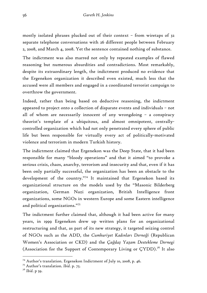mostly isolated phrases plucked out of their context – from wiretaps of 32 separate telephone conversations with 26 different people between February 2, 2008, and March 4, 2008. Yet the sentence contained nothing of substance.

The indictment was also marred not only by repeated examples of flawed reasoning but numerous absurdities and contradictions. Most remarkably, despite its extraordinary length, the indictment produced no evidence that the Ergenekon organization it described even existed, much less that the accused were all members and engaged in a coordinated terrorist campaign to overthrow the government.

Indeed, rather than being based on deductive reasoning, the indictment appeared to project onto a collection of disparate events and individuals – not all of whom are necessarily innocent of any wrongdoing – a conspiracy theorist's template of a ubiquitous, and almost omnipotent, centrallycontrolled organization which had not only penetrated every sphere of public life but been responsible for virtually every act of politically-motivated violence and terrorism in modern Turkish history.

The indictment claimed that Ergenekon was the Deep State, that it had been responsible for many "bloody operations" and that it aimed "to provoke a serious crisis, chaos, anarchy, terrorism and insecurity and that, even if it has been only partially successful, the organization has been an obstacle to the development of the country."74 It maintained that Ergenekon based its organizational structure on the models used by the "Masonic Bilderberg organization, German Nazi organization, British Intelligence front organizations, some NGOs in western Europe and some Eastern intelligence and political organizations."75

The indictment further claimed that, although it had been active for many years, in 1999 Ergenekon drew up written plans for an organizational restructuring and that, as part of its new strategy, it targeted seizing control of NGOs such as the ADD, the *Cumhuriyet Kadınları Derneği* (Republican Women's Association or CKD) and the *Çağdaş Yaşam Destekleme Dernegi* (Association for the Support of Contemporary Living or CYDD).<sup>76</sup> It also

<sup>74</sup> Author's translation. Ergenekon Indictment of July 10, 2008, p. 46.

<sup>75</sup> Author's translation. *Ibid*. p. 75.

<sup>76</sup> *Ibid*. p 59.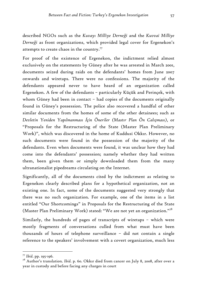described NGOs such as the *Kuvayı Milliye Derneği* and the *Kuvvai Milliye Derneği* as front organizations, which provided legal cover for Ergenekon's attempts to create chaos in the country.<sup>77</sup>

For proof of the existence of Ergenekon, the indictment relied almost exclusively on the statements by Güney after he was arrested in March 2001, documents seized during raids on the defendants' homes from June 2007 onwards and wiretaps. There were no confessions. The majority of the defendants appeared never to have heard of an organization called Ergenekon. A few of the defendants – particularly Küçük and Perinçek, with whom Güney had been in contact – had copies of the documents originally found in Güney's possession. The police also recovered a handful of other similar documents from the homes of some of the other detainees; such as *Devletin Yeniden Yapılmanması İçin Öneriler (Mastır Plan Ön Calışması)*, or "Proposals for the Restructuring of the State (Master Plan Preliminary Work)", which was discovered in the home of Kuddusi Okkır. However, no such documents were found in the possession of the majority of the defendants. Even when documents were found, it was unclear how they had come into the defendants' possession; namely whether they had written them, been given them or simply downloaded them from the many ultranationalist pipedreams circulating on the Internet.

Significantly, all of the documents cited by the indictment as relating to Ergenekon clearly described plans for a hypothetical organization, not an existing one. In fact, some of the documents suggested very strongly that there was no such organization. For example, one of the items in a list entitled "Our Shortcomings" in Proposals for the Restructuring of the State (Master Plan Preliminary Work) stated: "We are not yet an organization."78

Similarly, the hundreds of pages of transcripts of wiretaps – which were mostly fragments of conversations culled from what must have been thousands of hours of telephone surveillance – did not contain a single reference to the speakers' involvement with a covert organization, much less

<sup>77</sup> *Ibid*. pp. 195-196.

<sup>78</sup> Author's translation. *Ibid*. p. 60. Okkır died from cancer on July 8, 2008, after over a year in custody and before facing any charges in court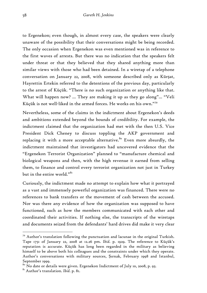to Ergenekon; even though, in almost every case, the speakers were clearly unaware of the possibility that their conversations might be being recorded. The only occasion when Ergenekon was even mentioned was in reference to the first waves of arrests. But there was no indication that the speakers felt under threat or that they believed that they shared anything more than similar views with those who had been detained. In a wiretap of a telephone conversation on January 22, 2008, with someone described only as Kürşat, Hayrettin Ertekin referred to the detentions of the previous day, particularly to the arrest of Küçük. "There is no such organization or anything like that. What will happen now? … They are making it up as they go along"… "Veli Küçük is not well-liked in the armed forces. He works on his own."<sup>79</sup>

Nevertheless, some of the claims in the indictment about Ergenekon's deeds and ambitions extended beyond the bounds of credibility. For example, the indictment claimed that the organization had met with the then U.S. Vice President Dick Cheney to discuss toppling the AKP government and replacing it with a more acceptable alternative.<sup>80</sup> Even more absurdly, the indictment maintained that investigators had uncovered evidence that the "Ergenekon Terrorist Organization" planned to "manufacture chemical and biological weapons and then, with the high revenue it earned from selling them, to finance and control every terrorist organization not just in Turkey but in the entire world."81

Curiously, the indictment made no attempt to explain how what it portrayed as a vast and immensely powerful organization was financed. There were no references to bank transfers or the movement of cash between the accused. Nor was there any evidence of how the organization was supposed to have functioned, such as how the members communicated with each other and coordinated their activities. If nothing else, the transcripts of the wiretaps and documents seized from the defendants' hard drives did make it very clear

<sup>79</sup> Author's translation following the punctuation and lacunae in the original Turkish. Tape 1751 of January 22, 2008 at 12.26 pm. *Ibid*. p. 1929. The reference to Küçük's reputation is accurate. Küçük has long been regarded in the military as believing himself to be above both his colleagues and the constraints under which they operate. Author's conversations with military sources, Şırnak, February 1998 and Istanbul, September 1999.

<sup>&</sup>lt;sup>80</sup> No date or details were given. Ergenekon Indictment of July 10, 2008, p. 93.

<sup>81</sup> Author's translation. *Ibid*. p. 81.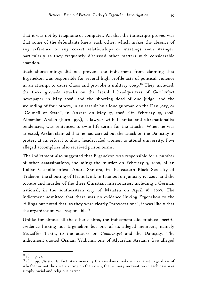that it was not by telephone or computer. All that the transcripts proved was that some of the defendants knew each other, which makes the absence of any reference to any covert relationships or meetings even stranger; particularly as they frequently discussed other matters with considerable abandon.

Such shortcomings did not prevent the indictment from claiming that Ergenekon was responsible for several high profile acts of political violence in an attempt to cause chaos and provoke a military coup.<sup>82</sup> They included: the three grenade attacks on the Istanbul headquarters of *Cumhuriyet* newspaper in May 2006: and the shooting dead of one judge, and the wounding of four others, in an assault by a lone gunman on the Danıştay, or "Council of State", in Ankara on May 17, 2006. On February 13, 2008, Alparslan Arslan (born 1977), a lawyer with Islamist and ultranationalist tendencies, was sentenced to twin life terms for the attacks. When he was arrested, Arslan claimed that he had carried out the attack on the Danıştay in protest at its refusal to allow headscarfed women to attend university. Five alleged accomplices also received prison terms.

The indictment also suggested that Ergenekon was responsible for a number of other assassinations, including: the murder on February 5, 2006, of an Italian Catholic priest, Andre Santora, in the eastern Black Sea city of Trabzon; the shooting of Hrant Dink in Istanbul on January 19, 2007; and the torture and murder of the three Christian missionaries, including a German national, in the southeastern city of Malatya on April 18, 2007. The indictment admitted that there was no evidence linking Ergenekon to the killings but noted that, as they were clearly "provocations", it was likely that the organization was responsible. $83$ 

Unlike for almost all the other claims, the indictment did produce specific evidence linking not Ergenekon but one of its alleged members, namely Muzaffer Tekin, to the attacks on *Cumhuriyet* and the Danıştay. The indictment quoted Osman Yıldırım, one of Alparslan Arslan's five alleged

<sup>82</sup> *Ibid*. p. 73.

<sup>83</sup> *Ibid*. pp. 385-386. In fact, statements by the assailants make it clear that, regardless of whether or not they were acting on their own, the primary motivation in each case was simply racial and religious hatred.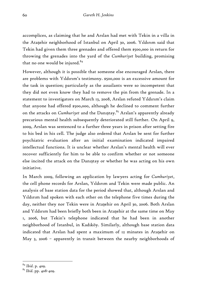accomplices, as claiming that he and Arslan had met with Tekin in a villa in the Ataşehir neighborhood of Istanbul on April 30, 2006. Yıldırım said that Tekin had given them three grenades and offered them \$500,000 in return for throwing the grenades into the yard of the *Cumhuriyet* building, promising that no one would be injured.<sup>84</sup>

However, although it is possible that someone else encouraged Arslan, there are problems with Yıldırım's testimony. \$500,000 is an excessive amount for the task in question; particularly as the assailants were so incompetent that they did not even know they had to remove the pin from the grenade. In a statement to investigators on March 13, 2008, Arslan refuted Yıldırım's claim that anyone had offered \$500,000, although he declined to comment further on the attacks on *Cumhuriyet* and the Danistay.<sup>85</sup> Arslan's apparently already precarious mental health subsequently deteriorated still further. On April 9, 2009, Arslan was sentenced to a further three years in prison after setting fire to his bed in his cell. The judge also ordered that Arslan be sent for further psychiatric evaluation after an initial examination indicated impaired intellectual functions. It is unclear whether Arslan's mental health will ever recover sufficiently for him to be able to confirm whether or not someone else incited the attack on the Danıştay or whether he was acting on his own initiative.

In March 2009, following an application by lawyers acting for *Cumhuriyet*, the cell phone records for Arslan, Yıldırım and Tekin were made public. An analysis of base station data for the period showed that, although Arslan and Yıldırım had spoken with each other on the telephone five times during the day, neither they nor Tekin were in Ataşehir on April 30, 2006. Both Arslan and Yıldırım had been briefly both been in Ataşehir at the same time on May 1, 2006, but Tekin's telephone indicated that he had been in another neighborhood of Istanbul, in Kadıköy. Similarly, although base station data indicated that Arslan had spent a maximum of 12 minutes in Ataşehir on May 3, 2006 – apparently in transit between the nearby neighborhoods of

<sup>84</sup> *Ibid*. p. 409.

<sup>85</sup> *Ibid*. pp. 408-409.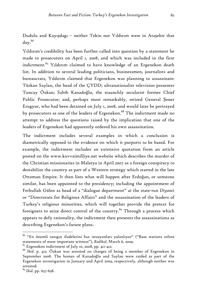Dudulu and Kayışdagı – neither Tekin nor Yıldırım were in Ataşehir that day.<sup>86</sup>

Yıldırım's credibility has been further called into question by a statement he made to prosecutors on April 1, 2008, and which was included in the first indictment.<sup>87</sup> Yıldırım claimed to have knowledge of an Ergenekon death list. In addition to several leading politicians, businessmen, journalists and bureaucrats, Yıldırım claimed that Ergenekon was planning to assassinate: Türkan Saylan, the head of the ÇYDD; ultranationalist television presenter Tuncay Özkan; Sabih Kanadoğlu, the staunchly secularist former Chief Public Prosecutor; and, perhaps most remarkably, retired General Şener Erugyur, who had been detained on July 1, 2008, and would later be portrayed by prosecutors as one of the leaders of Ergenekon.<sup>88</sup> The indictment made no attempt to address the questions raised by the implication that one of the leaders of Ergenekon had apparently ordered his own assassination.

The indictment includes several examples in which a conclusion is diametrically opposed to the evidence on which it purports to be based. For example, the indictment includes an extensive quotation from an article posted on the www.kuvvaimilliye.net website which describes the murder of the Christian missionaries in Malatya in April 2007 as a foreign conspiracy to destabilize the country as part of a Western strategy which started in the late Ottoman Empire. It then lists what will happen after Erdoğan, or someone similar, has been appointed to the presidency; including the appointment of Fethullah Gülen as head of a "dialogue department" at the state-run *Diyanet* or "Directorate for Religious Affairs" and the assassination of the leaders of Turkey's religious minorities, which will together provide the pretext for foreigners to seize direct control of the country.<sup>89</sup> Through a process which appears to defy rationality, the indictment then presents the assassinations as describing Ergenekon's future plans.

<sup>86 &</sup>quot;En önemli tanıgın ifadelerini baz istasyonları yalanlıyor" ("Base stations refute statements of most important witness"), *Radikal*, March 6, 2009.

 $87$  Ergenekon indictment of July 10, 2008, pp. 411-412.

<sup>88</sup> *Ibid*. p. 412. Özkan was arrested on charges of being a member of Ergenekon in September 2008. The homes of Kanadoğlu and Saylan were raided as part of the Ergenekon investigation in January and April 2009, respectively, although neither was arrested.

<sup>89</sup> *Ibid*. pp. 637-638.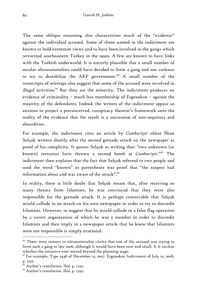The same oblique reasoning also characterizes much of the "evidence" against the individual accused. Some of those named in the indictment are known to hold extremist views and to have been involved in the gangs which terrorized southeastern Turkey in the 1990s. A few are known to have links with the Turkish underworld. It is entirely plausible that a small number of secular ultranationalists could have decided to form a gang and use violence to try to destabilize the AKP government.<sup>90</sup> A small number of the transcripts of wiretaps also suggest that some of the accused were involved in illegal activities. $91$  But they are the minority. The indictment produces no evidence of criminality – much less membership of Ergenekon – against the majority of the defendants. Indeed, the writers of the indictment appear so anxious to project a preconceived, conspiracy theorist's framework onto the reality of the evidence that the result is a succession of non-sequiturs and absurdities.

For example, the indictment cites an article by *Cumhuriyet* editor İlhan Selçuk written shortly after the second grenade attack on the newspaper as proof of his complicity. It quotes Selçuk as writing that: "two unknown (or known) terrorists have thrown a second bomb at *Cumhuriyet*."92 The indictment then explains that the fact that Selçuk referred to two people and used the word "known" in parentheses was proof that "the suspect had information about and was aware of the attack".93

In reality, there is little doubt that Selçuk meant that, after receiving so many threats from Islamists, he was convinced that they were also responsible for the grenade attack. It is perhaps conceivable that Selçuk would collude in an attack on his own newspaper in order to try to discredit Islamists. However, to suggest that he would collude in a false flag operation by a covert organization of which he was a member in order to discredit Islamists and then imply in a newspaper article that he knew that Islamists were not responsible is simply irrational.

<sup>&</sup>lt;sup>90</sup> There were rumors in ultranationalist circles that one of the accused was trying to form such a gang in late 2006, although it would have been new and small. It is unclear whether the initiative ever moved beyond the planning stage.

<sup>&</sup>lt;sup>91</sup> For example, Tape 3446 of December 15, 2007. Ergenekon Indictment of July 10, 2008, p. 2193.

<sup>&</sup>lt;sup>92</sup> Author's translation. *Ibid.* p. 1792.

<sup>93</sup> Author's translation. *Ibid*. p. 1792.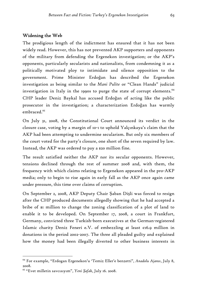### Widening the Web

The prodigious length of the indictment has ensured that it has not been widely read. However, this has not prevented AKP supporters and opponents of the military from defending the Ergenekon investigation; or the AKP's opponents, particularly secularists and nationalists, from condemning it as a politically motivated ploy to intimidate and silence opposition to the government. Prime Minister Erdoğan has described the Ergenekon investigation as being similar to the *Mani Pulite* or "Clean Hands" judicial investigation in Italy in the 1990s to purge the state of corrupt elements.<sup>94</sup> CHP leader Deniz Baykal has accused Erdoğan of acting like the public prosecutor in the investigation; a characterization Erdoğan has warmly embraced<sup>95</sup>

On July 31, 2008, the Constitutional Court announced its verdict in the closure case, voting by a margin of 10-1 to uphold Yalçınkaya's claim that the AKP had been attempting to undermine secularism. But only six members of the court voted for the party's closure, one short of the seven required by law. Instead, the AKP was ordered to pay a \$20 million fine.

The result satisfied neither the AKP nor its secular opponents. However, tensions declined through the rest of summer 2008 and, with them, the frequency with which claims relating to Ergenekon appeared in the pro-AKP media; only to begin to rise again in early fall as the AKP once again came under pressure, this time over claims of corruption.

On September 2, 2008, AKP Deputy Chair Şaban Dişli was forced to resign after the CHP produced documents allegedly showing that he had accepted a bribe of \$1 million to change the zoning classification of a plot of land to enable it to be developed. On September 17, 2008, a court in Frankfurt, Germany, convicted three Turkish-born executives at the German-registered Islamic charity Deniz Feneri e.V. of embezzling at least  $\epsilon$ 16.9 million in donations in the period 2002-2007. The three all pleaded guilty and explained how the money had been illegally diverted to other business interests in

<sup>94</sup> For example, "Erdogan Ergenekon'u 'Temiz Eller'e benzetti", *Anadolu Ajansı*, July 8, 2008.

<sup>95 &</sup>quot;Evet milletin savcısıyım", *Yeni Şafak*, July 16. 2008.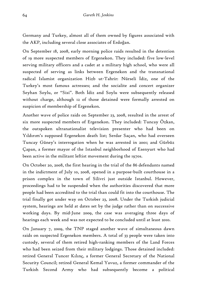Germany and Turkey, almost all of them owned by figures associated with the AKP, including several close associates of Erdoğan.

On September 18, 2008, early morning police raids resulted in the detention of 19 more suspected members of Ergenekon. They included: five low-level serving military officers and a cadet at a military high school, who were all suspected of serving as links between Ergenekon and the transnational radical Islamist organization Hizb ut-Tahrir: Nürseli İdiz, one of the Turkey's most famous actresses; and the socialite and concert organizer Seyhan Soylu, or "Sisi". Both İdiz and Soylu were subsequently released without charge, although 12 of those detained were formally arrested on suspicion of membership of Ergenekon.

Another wave of police raids on September 23, 2008, resulted in the arrest of six more suspected members of Ergenekon. They included: Tuncay Özkan, the outspoken ultranationalist television presenter who had been on Yıldırım's supposed Ergenekon death list; Serdar Saçan, who had overseen Tuncay Güney's interrogation when he was arrested in 2001; and Gürbüz Çapan, a former mayor of the Istanbul neighborhood of Esenyurt who had been active in the militant leftist movement during the 1970s.

On October 20, 2008, the first hearing in the trial of the 86 defendants named in the indictment of July 10, 2008, opened in a purpose-built courthouse in a prison complex in the town of Silivri just outside Istanbul. However, proceedings had to be suspended when the authorities discovered that more people had been accredited to the trial than could fit into the courthouse. The trial finally got under way on October 23, 2008. Under the Turkish judicial system, hearings are held at dates set by the judge rather than on successive working days. By mid-June 2009, the case was averaging three days of hearings each week and was not expected to be concluded until at least 2010.

On January 7, 2009, the TNP staged another wave of simultaneous dawn raids on suspected Ergenekon members. A total of 33 people were taken into custody, several of them retired high-ranking members of the Land Forces who had been seized from their military lodgings. Those detained included: retired General Tuncer Kılınç, a former General Secretary of the National Security Council; retired General Kemal Yavuz, a former commander of the Turkish Second Army who had subsequently become a political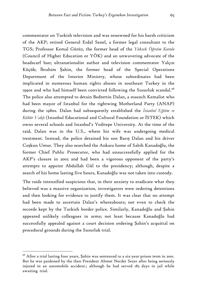commentator on Turkish television and was renowned for his harsh criticism of the AKP; retired General Erdal Senel, a former legal consultant to the TGS; Professor Kemal Gürüz, the former head of the *Yüksek Öğretim Kurulu*  (Council of Higher Education or YÖK) and an unwavering advocate of the headscarf ban; ultranationalist author and television commentator Yalçın Küçük; İbrahim Şahin, the former head of the Special Operations Department of the Interior Ministry, whose subordinates had been implicated in numerous human rights abuses in southeast Turkey in the 1990s and who had himself been convicted following the Susurluk scandal.<sup>96</sup> The police also attempted to detain Bedrettin Dalan, a staunch Kemalist who had been mayor of Istanbul for the rightwing Motherland Party (ANAP) during the 1980s. Dalan had subsequently established the *İstanbul Eğitim ve Kültür Vakfı* (Istanbul Educational and Cultural Foundation or İSTEK) which owns several schools and Istanbul's Yeditepe University. At the time of the raid, Dalan was in the U.S., where his wife was undergoing medical treatment. Instead, the police detained his son Barış Dalan and his driver Coşkun Umur. They also searched the Ankara home of Sabih Kanadoğlu, the former Chief Public Prosecutor, who had unsuccessfully applied for the AKP's closure in 2002 and had been a vigorous opponent of the party's attempts to appoint Abdullah Gül to the presidency; although, despite a search of his home lasting five hours, Kanadoğlu was not taken into custody.

The raids intensified suspicions that, in their anxiety to eradicate what they believed was a massive organization, investigators were ordering detentions and then looking for evidence to justify them. It was clear that no attempt had been made to ascertain Dalan's whereabouts; not even to check the records kept by the Turkish border police. Similarly, Kanadoğlu and Şahin appeared unlikely colleagues in arms; not least because Kanadoğlu had successfully appealed against a court decision ordering Şahin's acquittal on procedural grounds during the Susurluk trial.

 $96$  After a trial lasting four years, Şahin was sentenced to a six-year prison term in 2001. But he was pardoned by the then President Ahmet Necdet Sezer after being seriously injured in an automobile accident.; although he had served 185 days in jail while awaiting trial.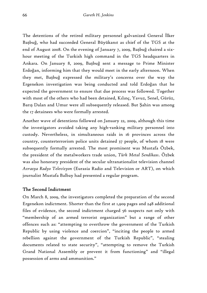The detentions of the retired military personnel galvanized General İlker Başbuğ, who had succeeded General Büyükanıt as chief of the TGS at the end of August 2008. On the evening of January 7, 2009, Başbuğ chaired a sixhour meeting of the Turkish high command in the TGS headquarters in Ankara. On January 8, 2009, Başbuğ sent a message to Prime Minister Erdoğan, informing him that they would meet in the early afternoon. When they met, Başbuğ expressed the military's concerns over the way the Ergenekon investigation was being conducted and told Erdoğan that he expected the government to ensure that due process was followed. Together with most of the others who had been detained, Kılınç, Yavuz, Senel, Gürüz, Barış Dalan and Umur were all subsequently released. But Şahin was among the 17 detainees who were formally arrested.

Another wave of detentions followed on January 22, 2009, although this time the investigators avoided taking any high-ranking military personnel into custody. Nevertheless, in simultaneous raids in 16 provinces across the country, counterterrorism police units detained 37 people, of whom 18 were subsequently formally arrested. The most prominent was Mustafa Özbek, the president of the metalworkers trade union, *Türk Metal Sendikası*. Özbek was also honorary president of the secular ultranationalist television channel *Avrasya Radyo Televizyon* (Eurasia Radio and Television or ART), on which journalist Mustafa Balbay had presented a regular program.

### The Second Indictment

On March 8, 2009, the investigators completed the preparation of the second Ergenekon indictment. Shorter than the first at 1,909 pages and 248 additional files of evidence, the second indictment charged 56 suspects not only with "membership of an armed terrorist organization" but a range of other offences such as: "attempting to overthrow the government of the Turkish Republic by using violence and coercion", "inciting the people to armed rebellion against the government of the Turkish Republic", "stealing documents related to state security", "attempting to remove the Turkish Grand National Assembly or prevent it from functioning" and "illegal possession of arms and ammunition."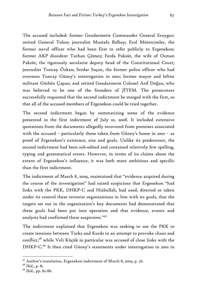The accused included: former Gendarmerie Commander General Eruygur; retired General Tolon; journalist Mustafa Balbay; Erol Mütercimler, the former naval officer who had been first to refer publicly to Ergenekon; former AKP dissident Turhan Çömez; Ferda Paksüt, the wife of Osman Paksüt, the rigorously secularist deputy head of the Constitutional Court; journalist Tuncay Özkan; Serdar Saçan, the former police officer who had overseen Tuncay Güney's interrogation in 2001; former mayor and leftist militant Gürbüz Çapan; and retired Gendarmerie Colonel Arif Doğan, who was believed to be one of the founders of JİTEM. The prosecutors successfully requested that the second indictment be merged with the first, so that all of the accused members of Ergenekon could be tried together.

The second indictment began by summarizing some of the evidence presented in the first indictment of July 10, 2008. It included extensive quotations from the documents allegedly recovered from premises associated with the accused – particularly those taken from Güney's home in 2001 – as proof of Ergenekon's existence, size and goals. Unlike its predecessor, the second indictment had been sub-edited and contained relatively few spelling, typing and grammatical errors. However, in terms of its claims about the extent of Ergenekon's influence, it was both more ambitious and specific than the first indictment.

The indictment of March 8, 2009, maintained that "evidence acquired during the course of the investigation" had raised suspicions that Ergenekon "had links with the PKK, DHKP-C and Hizbullah, had used, directed or taken under its control these terrorist organizations in line with its goals, that the targets set out in the organization's key documents had demonstrated that these goals had been put into operation and that evidence, events and analysis had confirmed these suspicions."<sup>97</sup>

The indictment explained that Ergenekon was seeking to use the PKK to create tensions between Turks and Kurds in an attempt to provoke chaos and conflict,98 while Veli Küçük in particular was accused of close links with the DHKP-C.99 It then cited Güney's statements under interrogation in 2001 in

<sup>97</sup> Author's translation, Ergenekon indictment of March 8, 2009, p. 76.

<sup>98</sup> *Ibid*., p. 81

<sup>99</sup> *Ibid*., pp. 82-86.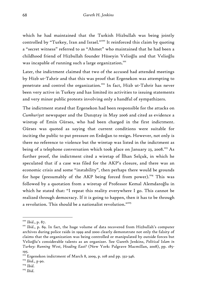which he had maintained that the Turkish Hizbullah was being jointly controlled by "Turkey, Iran and Israel."100 It reinforced this claim by quoting a "secret witness" referred to as "Ahmet" who maintained that he had been a childhood friend of Hizbullah founder Hüseyin Velioğlu and that Velioğlu was incapable of running such a large organization.<sup>101</sup>

Later, the indictment claimed that two of the accused had attended meetings by Hizb ut-Tahrir and that this was proof that Ergenekon was attempting to penetrate and control the organization.<sup>102</sup> In fact, Hizb ut-Tahrir has never been very active in Turkey and has limited its activities to issuing statements and very minor public protests involving only a handful of sympathizers.

The indictment stated that Ergenekon had been responsible for the attacks on *Cumhuriyet* newspaper and the Danıştay in May 2006 and cited as evidence a wiretap of Emin Gürses, who had been charged in the first indictment. Gürses was quoted as saying that current conditions were suitable for inciting the public to put pressure on Erdoğan to resign. However, not only is there no reference to violence but the wiretap was listed in the indictment as being of a telephone conversation which took place on January 23, 2008.<sup>103</sup> As further proof, the indictment cited a wiretap of İlhan Selçuk, in which he speculated that if a case was filed for the AKP's closure, and there was an economic crisis and some "instability", then perhaps there would be grounds for hope (presumably of the AKP being forced from power).<sup>104</sup> This was followed by a quotation from a wiretap of Professor Kemal Alemdaroğlu in which he stated that: "I repeat this reality everywhere I go. This cannot be realized through democracy. If it is going to happen, then it has to be through a revolution. This should be a nationalist revolution."<sup>105</sup>

<sup>&</sup>lt;sup>100</sup> Ibid., p. 87.<br><sup>101</sup> Ibid., p. 89. In fact, the huge volume of data recovered from Hizbullah's computer archives during police raids in 1999 and 2000 clearly demonstrate not only the falsity of claims that the organization was being controlled or manipulated by outside forces but Velioğlu's considerable talents as an organizer. See Gareth Jenkins, *Political Islam in Turkey: Running West, Heading East?* (New York: Palgrave Macmillan, 2008), pp. 185- 195.

<sup>&</sup>lt;sup>102</sup> Ergenekon indictment of March 8, 2009, p. 108 and pp. 332-346.

<sup>103</sup> *Ibid*., p 90.

<sup>104</sup> *Ibid*. 105 *Ibid*.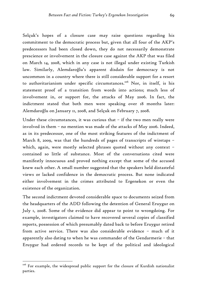Selçuk's hopes of a closure case may raise questions regarding his commitment to the democratic process but, given that all four of the AKP's predecessors had been closed down, they do not necessarily demonstrate prescience or involvement in the closure case against the AKP that was filed on March 14, 2008, which in any case is not illegal under existing Turkish law. Similarly, Alemdaroğlu's apparent disdain for democracy is not uncommon in a country where there is still considerable support for a resort to authoritarianism under specific circumstances.<sup>106</sup> Nor, in itself, is his statement proof of a transition from words into actions; much less of involvement in, or support for, the attacks of May 2006. In fact, the indictment stated that both men were speaking over 18 months later: Alemdaroğlu on January 11, 2008, and Selçuk on February 7, 2008.

Under these circumstances, it was curious that – if the two men really were involved in them – no mention was made of the attacks of May 2006. Indeed, as in its predecessor, one of the most striking features of the indictment of March 8, 2009, was that the hundreds of pages of transcripts of wiretaps – which, again, were mostly selected phrases quoted without any context – contained so little of substance. Most of the conversations cited were manifestly innocuous and proved nothing except that some of the accused knew each other. A small number suggested that the speakers held distasteful views or lacked confidence in the democratic process. But none indicated either involvement in the crimes attributed to Ergenekon or even the existence of the organization.

The second indictment devoted considerable space to documents seized from the headquarters of the ADD following the detention of General Eruygur on July 1, 2008. Some of the evidence did appear to point to wrongdoing. For example, investigators claimed to have recovered several copies of classified reports, possession of which presumably dated back to before Eruygur retired from active service. There was also considerable evidence – much of it apparently also dating to when he was commander of the Gendarmerie – that Eruygur had ordered records to be kept of the political and ideological

 $10^{6}$  For example, the widespread public support for the closure of Kurdish nationalist parties.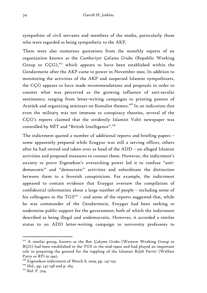sympathies of civil servants and members of the media, particularly those who were regarded as being sympathetic to the AKP.

There were also numerous quotations from the monthly reports of an organization known as the *Cumhuriyet Çalışma Grubu* (Republic Working Group or CCG),<sup>107</sup> which appears to have been established within the Gendarmerie after the AKP came to power in November 2002. In addition to monitoring the activities of the AKP and suspected Islamist sympathizers, the CÇG appears to have made recommendations and proposals in order to counter what was perceived as the growing influence of anti-secular sentiments; ranging from letter-writing campaigns to printing posters of Atatürk and organizing seminars on Kemalist themes.<sup>108</sup> In an indication that even the military was not immune to conspiracy theories, several of the CÇG's reports claimed that the stridently Islamist *Vakit* newspaper was controlled by MIT and "British Intelligence".<sup>109</sup>

The indictment quoted a number of additional reports and briefing papers – some apparently prepared while Erugyur was still a serving officer, others after he had retired and taken over as head of the ADD – on alleged Islamist activities and proposed measures to counter them. However, the indictment's anxiety to prove Ergenekon's overarching power led it to confuse "antidemocratic" and "democratic" activities and subordinate the distinction between them to a feverish conspiricism. For example, the indictment appeared to contain evidence that Eruygur oversaw the compilation of confidential information about a large number of people – including some of his colleagues in the  $TGS^{10}$  - and some of the reports suggested that, while he was commander of the Gendarmerie, Eruygur had been seeking to undermine public support for the government; both of which the indictment described as being illegal and undemocratic. However, it accorded a similar status to an ADD letter-writing campaign to university professors to

<sup>107</sup> A similar group, known as the *Batı Çalışma Grubu* (Western Working Group or BÇG) had been established in the TGS in the mid-1990s and had played an important role in preparing the ground for the toppling of the Islamist *Refah Partisi* (Welfare Party or RP) in 1997.

<sup>&</sup>lt;sup>108</sup> Ergenekon indictment of March 8, 2009, pp. 147-155.

<sup>109</sup> *Ibid*., pp. 147-148 and p. 184. 110 *Ibid*. P. 704.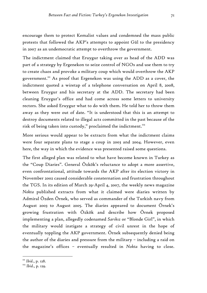encourage them to protect Kemalist values and condemned the mass public protests that followed the AKP's attempts to appoint Gül to the presidency in 2007 as an undemocratic attempt to overthrow the government.

The indictment claimed that Eruygur taking over as head of the ADD was part of a strategy by Ergenekon to seize control of NGOs and use them to try to create chaos and provoke a military coup which would overthrow the AKP government.111 As proof that Ergenekon was using the ADD as a cover, the indictment quoted a wiretap of a telephone conversation on April 8, 2008, between Eruygur and his secretary at the ADD. The secretary had been cleaning Eruygur's office and had come across some letters to university rectors. She asked Eruygur what to do with them. He told her to throw them away as they were out of date. "It is understood that this is an attempt to destroy documents related to illegal acts committed in the past because of the risk of being taken into custody," proclaimed the indictment.<sup>112</sup>

More serious would appear to be extracts from what the indictment claims were four separate plans to stage a coup in 2003 and 2004. However, even here, the way in which the evidence was presented raised some questions.

The first alleged plan was related to what have become known in Turkey as the "Coup Diaries". General Özkök's reluctance to adopt a more assertive, even confrontational, attitude towards the AKP after its election victory in November 2002 caused considerable consternation and frustration throughout the TGS. In its edition of March 29-April 4, 2007, the weekly news magazine *Nokta* published extracts from what it claimed were diaries written by Admiral Özden Örnek, who served as commander of the Turkish navy from August 2003 to August 2005. The diaries appeared to document Örnek's growing frustration with Özkök and describe how Örnek proposed implementing a plan, allegedly codenamed *Sarıkız* or "Blonde Girl", in which the military would instigate a strategy of civil unrest in the hope of eventually toppling the AKP government. Örnek subsequently denied being the author of the diaries and pressure from the military – including a raid on the magazine's offices – eventually resulted in *Nokta* having to close.

<sup>&</sup>lt;sup>111</sup> *Ibid.*, p. 128.<br><sup>112</sup> *Ibid.*, p. 129.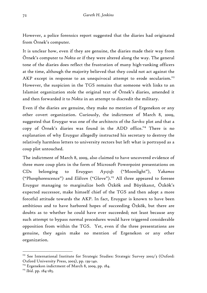However, a police forensics report suggested that the diaries had originated from Örnek's computer.

It is unclear how, even if they are genuine, the diaries made their way from Örnek's computer to *Nokta* or if they were altered along the way. The general tone of the diaries does reflect the frustration of many high-ranking officers at the time, although the majority believed that they could not act against the AKP except in response to an unequivocal attempt to erode secularism.<sup>113</sup> However, the suspicion in the TGS remains that someone with links to an Islamist organization stole the original text of Örnek's diaries, amended it and then forwarded it to *Nokta* in an attempt to discredit the military.

Even if the diaries are genuine, they make no mention of Ergenekon or any other covert organization. Curiously, the indictment of March 8, 2009, suggested that Eruygur was one of the architects of the *Sarıkız* plot and that a copy of Örnek's diaries was found in the ADD office.114 There is no explanation of why Eruygur allegedly instructed his secretary to destroy the relatively harmless letters to university rectors but left what is portrayed as a coup plot untouched.

The indictment of March 8, 2009, also claimed to have uncovered evidence of three more coup plots in the form of Microsoft Powerpoint presentations on CDs belonging to Eruygur: *Ayışığı* ("Moonlight"), *Yakamoz* ("Phosphorescence") and *Eldiven* ("Glove").115 All three appeared to foresee Eruygur managing to marginalize both Özkök and Büyükanıt, Özkök's expected successor, make himself chief of the TGS and then adopt a more forceful attitude towards the AKP. In fact, Eruygur is known to have been ambitious and to have harbored hopes of succeeding Özkök, but there are doubts as to whether he could have ever succeeded; not least because any such attempt to bypass normal procedures would have triggered considerable opposition from within the TGS. Yet, even if the three presentations are genuine, they again make no mention of Ergenekon or any other organization.

 $113$  See International Institute for Strategic Studies: Strategic Survey 2002/3 (Oxford: Oxford University Press, 2003), pp. 139-140.

 $114$  Ergenekon indictment of March 8, 2009, pp.  $184$ .

<sup>115</sup> *Ibid*. pp. 184-185.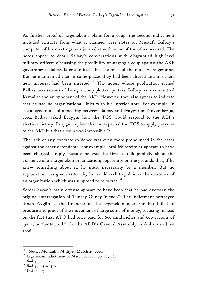As further proof of Ergenekon's plans for a coup, the second indictment included extracts from what it claimed were notes on Mustafa Balbay's computer of his meetings as a journalist with some of the other accused. The notes appear to detail Balbay's conversations with disgruntled high-level military officers discussing the possibility of staging a coup against the AKP government. Balbay later admitted that the most of the notes were genuine. But he maintained that in some places they had been altered and in others new material had been inserted.<sup>116</sup> The notes, whose publication earned Balbay accusations of being a coup-plotter, portray Balbay as a committed Kemalist and an opponent of the AKP. However, they also appear to indicate that he had no organizational links with his interlocutors. For example, in the alleged notes of a meeting between Balbay and Eruygur on November 30, 2002, Balbay asked Eruygur how the TGS would respond to the AKP's election victory. Eruygur replied that he expected the TGS to apply pressure to the AKP but that a coup was impossible.<sup>117</sup>

The lack of any concrete evidence was even more pronounced in the cases against the other defendants. For example, Erol Mütercimler appears to have been charged simply because he was the first to talk publicly about the existence of an Ergenekon organization; apparently on the grounds that, if he knew something about it, he must necessarily be a member. But no explanation was given as to why he would seek to publicize the existence of an organization which was supposed to be secret.<sup>118</sup>

Serdar Saçan's main offense appears to have been that he had overseen the original interrogation of Tuncay Güney in 2001.<sup>119</sup> The indictment portrayed Sinan Aygün as the financier of the Ergenekon operation but failed to produce any proof of the movement of large sums of money, focusing instead on the fact that ATO had once paid for 600 sandwiches and 600 cartons of *ayran*, or "buttermilk", for the ADD's General Assembly in Ankara in June  $2006.$ <sup>120</sup>

<sup>119</sup> *Ibid*. pp. 1329-1330 120 *Ibid*. p. 415.

<sup>&</sup>lt;sup>116</sup> "Notlar Montajlı", Milliyet, March 25, 2009.

<sup>&</sup>lt;sup>117</sup> Ergenekon indictment of March 8, 2009, pp. 267-269.

<sup>118</sup> *Ibid*. pp. 121-123.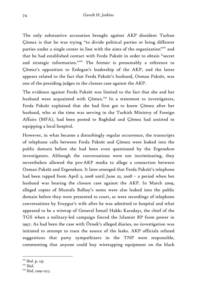The only substantive accusation brought against AKP dissident Turhan Çömez is that he was trying "to divide political parties or bring different parties under a single center in line with the aims of the organization"<sup>121</sup> and that he had established contact with Ferda Paksüt in order to obtain "secret and strategic information."<sup>122</sup> The former is presumably a reference to Çömez's opposition to Erdogan's leadership of the AKP, and the latter appears related to the fact that Ferda Paksüt's husband, Osman Paksüt, was one of the presiding judges in the closure case against the AKP.

The evidence against Ferda Paksüt was limited to the fact that she and her husband were acquainted with Çömez.<sup>123</sup> In a statement to investigators, Ferda Paksüt explained that she had first got to know Çömez after her husband, who at the time was serving in the Turkish Ministry of Foreign Affairs (MFA), had been posted to Baghdad and Çömez had assisted in equipping a local hospital.

However, in what became a disturbingly regular occurrence, the transcripts of telephone calls between Ferda Paksüt and Çömez were leaked into the public domain before she had been even questioned by the Ergenekon investigators. Although the conversations were not incriminating, they nevertheless allowed the pro-AKP media to allege a connection between Osman Paksüt and Ergenekon. It later emerged that Ferda Paksüt's telephone had been tapped from April 2, 2008 until June 22, 2008 – a period when her husband was hearing the closure case against the AKP. In March 2009, alleged copies of Mustafa Balbay's notes were also leaked into the public domain before they were presented to court, as were recordings of telephone conversations by Eruygur's wife after he was admitted to hospital and what appeared to be a wiretap of General İsmail Hakkı Karadayı, the chief of the TGS when a military-led campaign forced the Islamist RP from power in 1997. As had been the case with Örnek's alleged diaries, no investigation was initiated to attempt to trace the source of the leaks. AKP officials refuted suggestions that party sympathizers in the TNP were responsible, commenting that anyone could buy wiretapping equipment on the black

<sup>121</sup> *Ibid*. p. 133 122 *Ibid*. 123 *Ibid*, 1209-1217.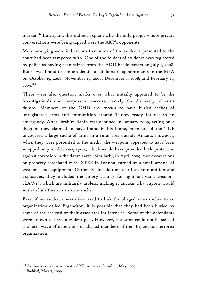market.<sup>124</sup> But, again, this did not explain why the only people whose private conversations were being tapped were the AKP's opponents.

More worrying were indications that some of the evidence presented to the court had been tampered with. One of the folders of evidence was registered by police as having been seized from the ADD headquarters on July 1, 2008. But it was found to contain details of diplomatic appointments in the MFA on October 15, 2008; November 15, 2008; December 1, 2008; and February 15, 2009.<sup>125</sup>

There were also question marks over what initially appeared to be the investigation's one unequivocal success; namely the discovery of arms dumps. Members of the ÖHD are known to have buried caches of unregistered arms and ammunition around Turkey ready for use in an emergency. After İbrahim Şahin was detained in January 2009, acting on a diagram they claimed to have found in his home, members of the TNP uncovered a large cache of arms in a rural area outside Ankara. However, when they were presented to the media, the weapons appeared to have been wrapped only in old newspapers; which would have provided little protection against corrosion in the damp earth. Similarly, in April 2009, two excavations on property associated with İSTEK in Istanbul turned up a small arsenal of weapons and equipment. Curiously, in addition to rifles, ammunition and explosives, they included the empty casings for light anti-tank weapons (LAWs); which are militarily useless, making it unclear why anyone would wish to hide them in an arms cache.

Even if no evidence was discovered to link the alleged arms caches to an organization called Ergenekon, it is possible that they had been buried by some of the accused or their associates for later use. Some of the defendants were known to have a violent past. However, the same could not be said of the next wave of detentions of alleged members of the "Ergenekon terrorist organization."

<sup>&</sup>lt;sup>124</sup> Author's conversation with AKP minister, Istanbul, May 2009.

<sup>125</sup> *Radikal*, May 7, 2009.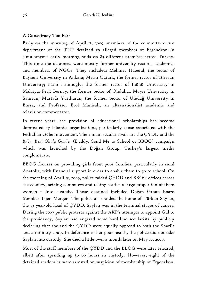## A Conspiracy Too Far?

Early on the morning of April 13, 2009, members of the counterterrorism department of the TNP detained 39 alleged members of Ergenekon in simultaneous early morning raids on 83 different premises across Turkey. This time the detainees were mostly former university rectors, academics and members of NGOs. They included: Mehmet Haberal, the rector of Başkent University in Ankara; Metin Öztürk, the former rector of Giresun University; Fatih Hilmioğlu, the former rector of İnönü University in Malatya: Ferit Bernay, the former rector of Ondukuz Mayıs University in Samsun; Mustafa Yurtkuran, the former rector of Uludağ University in Bursa; and Professor Erol Manisalı, an ultranationalist academic and television commentator.

In recent years, the provision of educational scholarships has become dominated by Islamist organizations, particularly those associated with the Fethullah Gülen movement. Their main secular rivals are the ÇYDD and the *Baba, Beni Okula Gönder* (Daddy, Send Me to School or BBOG) campaign which was launched by the Doğan Group, Turkey's largest media conglomerate.

BBOG focuses on providing girls from poor families, particularly in rural Anatolia, with financial support in order to enable them to go to school. On the morning of April 13, 2009, police raided ÇYDD and BBOG offices across the country, seizing computers and taking staff – a large proportion of them women – into custody. Those detained included Doğan Group Board Member Tijen Mergen. The police also raided the home of Türkan Saylan, the 73 year-old head of ÇYDD. Saylan was in the terminal stages of cancer. During the 2007 public protests against the AKP's attempts to appoint Gül to the presidency, Saylan had angered some hard-line secularists by publicly declaring that she and the ÇYDD were equally opposed to both the Shari'a and a military coup. In deference to her poor health, the police did not take Saylan into custody. She died a little over a month later on May 18, 2009.

Most of the staff members of the ÇYDD and the BBOG were later released, albeit after spending up to 60 hours in custody. However, eight of the detained academics were arrested on suspicion of membership of Ergenekon.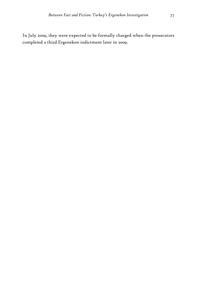In July 2009, they were expected to be formally charged when the prosecutors completed a third Ergenekon indictment later in 2009.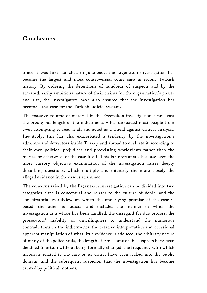## Conclusions

Since it was first launched in June 2007, the Ergenekon investigation has become the largest and most controversial court case in recent Turkish history. By ordering the detentions of hundreds of suspects and by the extraordinarily ambitious nature of their claims for the organization's power and size, the investigators have also ensured that the investigation has become a test case for the Turkish judicial system.

The massive volume of material in the Ergenekon investigation – not least the prodigious length of the indictments – has dissuaded most people from even attempting to read it all and acted as a shield against critical analysis. Inevitably, this has also exacerbated a tendency by the investigation's admirers and detractors inside Turkey and abroad to evaluate it according to their own political prejudices and preexisting worldviews rather than the merits, or otherwise, of the case itself. This is unfortunate, because even the most cursory objective examination of the investigation raises deeply disturbing questions, which multiply and intensify the more closely the alleged evidence in the case is examined.

The concerns raised by the Ergenekon investigation can be divided into two categories. One is conceptual and relates to the culture of denial and the conspiratorial worldview on which the underlying premise of the case is based; the other is judicial and includes the manner in which the investigation as a whole has been handled, the disregard for due process, the prosecutors' inability or unwillingness to understand the numerous contradictions in the indictments, the creative interpretation and occasional apparent manipulation of what little evidence is adduced, the arbitrary nature of many of the police raids, the length of time some of the suspects have been detained in prison without being formally charged, the frequency with which materials related to the case or its critics have been leaked into the public domain, and the subsequent suspicion that the investigation has become tainted by political motives.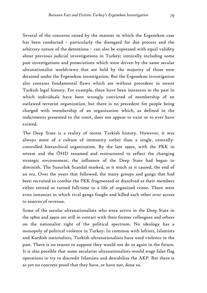Several of the concerns raised by the manner in which the Ergenekon case has been conducted – particularly the disregard for due process and the arbitrary nature of the detentions – can also be expressed with equal validity about previous judicial investigations in Turkey; ironically including some past investigations and prosecutions which were driven by the same secular ultranationalist worldviews that are held by the majority of those now detained under the Ergenekon investigation. But the Ergenekon investigation also contains fundamental flaws which are without precedent in recent Turkish legal history. For example, there have been instances in the past in which individuals have been wrongly convicted of membership of an outlawed terrorist organization, but there is no precedent for people being charged with membership of an organization which, as defined in the indictments presented to the court, does not appear to exist or to ever have existed.

The Deep State is a reality of recent Turkish history. However, it was always more of a culture of immunity rather than a single, centrallycontrolled hierarchical organization. By the late 1990s, with the PKK in retreat and the ÖHD renamed and restructured to reflect the changing strategic environment, the influence of the Deep State had began to diminish. The Susurluk Scandal marked, as it much as it caused, the end of an era. Over the years that followed, the many groups and gangs that had been recruited to combat the PKK fragmented or dissolved as their members either retired or turned full-time to a life of organized crime. There were even instances in which rival gangs fought and killed each other over access to sources of revenue.

Some of the secular ultranationalists who were active in the Deep State in the 1980s and 1990s are still in contact with their former colleagues and others on the nationalist right of the political spectrum. No ideology has a monopoly of political violence in Turkey. In common with leftists, Islamists and Kurdish nationalists, Turkish ultranationalists have used violence in the past. There is no reason to suppose they would not do so again in the future. It is also possible that some secularist ultranationalists would stage false flag operations to try to discredit Islamists and destabilize the AKP. But there is as yet no concrete proof that they have, or have not, done so.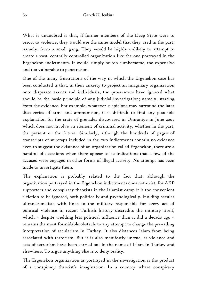What is undoubted is that, if former members of the Deep State were to resort to violence, they would use the same model that they used in the past; namely, form a small gang. They would be highly unlikely to attempt to create a vast, centrally-controlled organization like the one portrayed in the Ergenekon indictments. It would simply be too cumbersome, too expensive and too vulnerable to penetration.

One of the many frustrations of the way in which the Ergenekon case has been conducted is that, in their anxiety to project an imaginary organization onto disparate events and individuals, the prosecutors have ignored what should be the basic principle of any judicial investigation; namely, starting from the evidence. For example, whatever suspicions may surround the later discoveries of arms and ammunition, it is difficult to find any plausible explanation for the crate of grenades discovered in Ümraniye in June 2007 which does not involve an element of criminal activity, whether in the past, the present or the future. Similarly, although the hundreds of pages of transcripts of wiretaps included in the two indictments contain no evidence even to suggest the existence of an organization called Ergenekon, there are a handful of occasions when there appear to be indications that a few of the accused were engaged in other forms of illegal activity. No attempt has been made to investigate them.

The explanation is probably related to the fact that, although the organization portrayed in the Ergenekon indictments does not exist, for AKP supporters and conspiracy theorists in the Islamist camp it is too convenient a fiction to be ignored, both politically and psychologically. Holding secular ultranationalists with links to the military responsible for every act of political violence in recent Turkish history discredits the military itself, which – despite wielding less political influence than it did a decade ago – remains the most formidable obstacle to any attempt to change the prevailing interpretation of secularism in Turkey. It also distances Islam from being associated with terrorism. But it is also manifestly untrue, as violence and acts of terrorism have been carried out in the name of Islam in Turkey and elsewhere. To argue anything else is to deny reality.

The Ergenekon organization as portrayed in the investigation is the product of a conspiracy theorist's imagination. In a country where conspiracy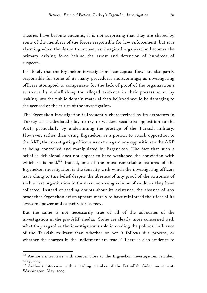theories have become endemic, it is not surprising that they are shared by some of the members of the forces responsible for law enforcement; but it is alarming when the desire to uncover an imagined organization becomes the primary driving force behind the arrest and detention of hundreds of suspects.

It is likely that the Ergenekon investigation's conceptual flaws are also partly responsible for some of its many procedural shortcomings; as investigating officers attempted to compensate for the lack of proof of the organization's existence by embellishing the alleged evidence in their possession or by leaking into the public domain material they believed would be damaging to the accused or the critics of the investigation.

The Ergenekon investigation is frequently characterized by its detractors in Turkey as a calculated ploy to try to weaken secularist opposition to the AKP, particularly by undermining the prestige of the Turkish military. However, rather than using Ergenekon as a pretext to attack opposition to the AKP, the investigating officers seem to regard any opposition to the AKP as being controlled and manipulated by Ergenekon. The fact that such a belief is delusional does not appear to have weakened the conviction with which it is held.<sup>126</sup> Indeed, one of the most remarkable features of the Ergenekon investigation is the tenacity with which the investigating officers have clung to this belief despite the absence of any proof of the existence of such a vast organization in the ever-increasing volume of evidence they have collected. Instead of seeding doubts about its existence, the absence of any proof that Ergenekon exists appears merely to have reinforced their fear of its awesome power and capacity for secrecy.

But the same is not necessarily true of all of the advocates of the investigation in the pro-AKP media. Some are clearly more concerned with what they regard as the investigation's role in eroding the political influence of the Turkish military than whether or not it follows due process, or whether the charges in the indictment are true.<sup>127</sup> There is also evidence to

<sup>&</sup>lt;sup>126</sup> Author's interviews with sources close to the Ergenekon investigation. Istanbul, May, 2009.

 $127$  Author's interview with a leading member of the Fethullah Gülen movement, Washington, May, 2009.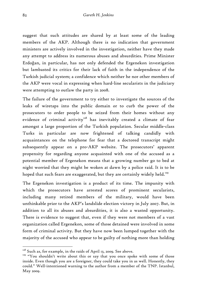suggest that such attitudes are shared by at least some of the leading members of the AKP. Although there is no indication that government ministers are actively involved in the investigation, neither have they made any attempt to address its numerous abuses and absurdities. Prime Minister Erdoğan, in particular, has not only defended the Ergenekon investigation but lambasted its critics for their lack of faith in the independence of the Turkish judicial system; a confidence which neither he nor other members of the AKP were vocal in expressing when hard-line secularists in the judiciary were attempting to outlaw the party in 2008.

The failure of the government to try either to investigate the sources of the leaks of wiretaps into the public domain or to curb the power of the prosecutors to order people to be seized from their homes without any evidence of criminal activity<sup>128</sup> has inevitably created a climate of fear amongst a large proportion of the Turkish population. Secular middle-class Turks in particular are now frightened of talking candidly with acquaintances on the telephone for fear that a doctored transcript might subsequently appear on a pro-AKP website. The prosecutors' apparent propensity for regarding anyone acquainted with one of the accused as a potential member of Ergenekon means that a growing number go to bed at night worried that they might be woken at dawn by a police raid. It is to be hoped that such fears are exaggerated, but they are certainly widely held.<sup>129</sup>

The Ergenekon investigation is a product of its time. The impunity with which the prosecutors have arrested scores of prominent secularists, including many retired members of the military, would have been unthinkable prior to the AKP's landslide election victory in July 2007. But, in addition to all its abuses and absurdities, it is also a wasted opportunity. There is evidence to suggest that, even if they were not members of a vast organization called Ergenekon, some of those detained were involved in some form of criminal activity. But they have now been lumped together with the majority of the accused who appear to be guilty of nothing more than holding

 $128$  Such as, for example, in the raids of April 13, 2009. See above.

<sup>&</sup>lt;sup>129</sup> "You shouldn't write about this or say that you once spoke with some of those inside. Even though you are a foreigner, they could take you in as well. Honestly, they could." Well-intentioned warning to the author from a member of the TNP. Istanbul, May 2009.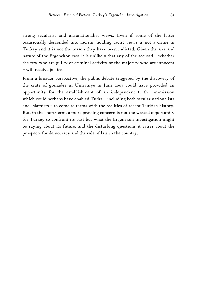strong secularist and ultranationalist views. Even if some of the latter occasionally descended into racism, holding racist views is not a crime in Turkey and it is not the reason they have been indicted. Given the size and nature of the Ergenekon case it is unlikely that any of the accused – whether the few who are guilty of criminal activity or the majority who are innocent – will receive justice.

From a broader perspective, the public debate triggered by the discovery of the crate of grenades in Ümraniye in June 2007 could have provided an opportunity for the establishment of an independent truth commission which could perhaps have enabled Turks – including both secular nationalists and Islamists – to come to terms with the realities of recent Turkish history. But, in the short-term, a more pressing concern is not the wasted opportunity for Turkey to confront its past but what the Ergenekon investigation might be saying about its future, and the disturbing questions it raises about the prospects for democracy and the rule of law in the country.